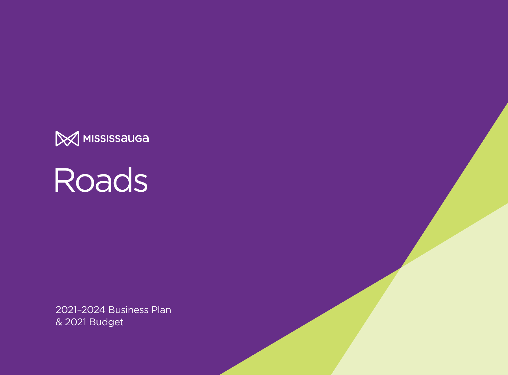

Roads

2021–2024 Business Plan & 2021 Budget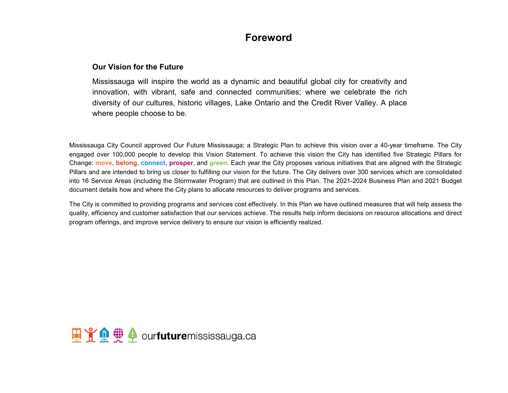## **Foreword**

## **Our Vision for the Future**

Mississauga will inspire the world as a dynamic and beautiful global city for creativity and innovation, with vibrant, safe and connected communities; where we celebrate the rich diversity of our cultures, historic villages, Lake Ontario and the Credit River Valley. A place where people choose to be.

Mississauga City Council approved Our Future Mississauga; a Strategic Plan to achieve this vision over a 40-year timeframe. The City engaged over 100,000 people to develop this Vision Statement. To achieve this vision the City has identified five Strategic Pillars for Change: **move**, **belong**, **connect**, **prosper**, and **green**. Each year the City proposes various initiatives that are aligned with the Strategic Pillars and are intended to bring us closer to fulfilling our vision for the future. The City delivers over 300 services which are consolidated into 16 Service Areas (including the Stormwater Program) that are outlined in this Plan. The 2021-2024 Business Plan and 2021 Budget document details how and where the City plans to allocate resources to deliver programs and services.

The City is committed to providing programs and services cost effectively. In this Plan we have outlined measures that will help assess the quality, efficiency and customer satisfaction that our services achieve. The results help inform decisions on resource allocations and direct program offerings, and improve service delivery to ensure our vision is efficiently realized.

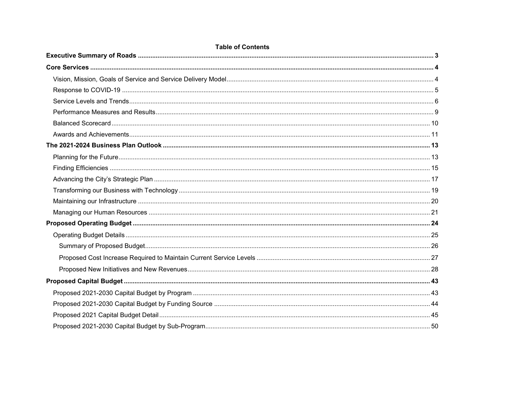| <b>Table of Contents</b> |  |
|--------------------------|--|
|                          |  |
|                          |  |
|                          |  |
|                          |  |
|                          |  |
|                          |  |
|                          |  |
|                          |  |
|                          |  |
|                          |  |
|                          |  |
|                          |  |
|                          |  |
|                          |  |
|                          |  |
|                          |  |
|                          |  |
|                          |  |
|                          |  |
|                          |  |
|                          |  |
|                          |  |
|                          |  |
|                          |  |
|                          |  |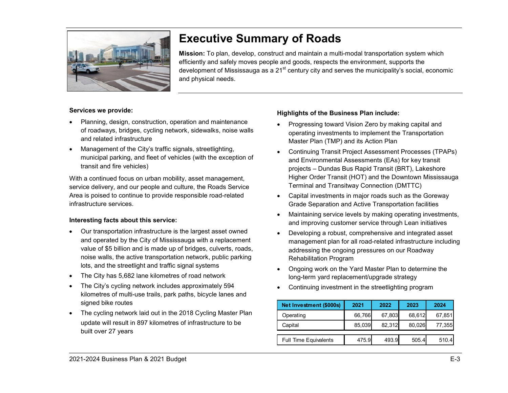

# <span id="page-3-0"></span>**Executive Summary of Roads**

**Mission:** To plan, develop, construct and maintain a multi-modal transportation system which efficiently and safely moves people and goods, respects the environment, supports the development of Mississauga as a  $21<sup>st</sup>$  century city and serves the municipality's social, economic and physical needs.

#### **Services we provide:**

- Planning, design, construction, operation and maintenance of roadways, bridges, cycling network, sidewalks, noise walls and related infrastructure
- Management of the City's traffic signals, streetlighting, municipal parking, and fleet of vehicles (with the exception of transit and fire vehicles)

With a continued focus on urban mobility, asset management, service delivery, and our people and culture, the Roads Service Area is poised to continue to provide responsible road-related infrastructure services.

#### **Interesting facts about this service:**

- Our transportation infrastructure is the largest asset owned and operated by the City of Mississauga with a replacement value of \$5 billion and is made up of bridges, culverts, roads, noise walls, the active transportation network, public parking lots, and the streetlight and traffic signal systems
- The City has 5,682 lane kilometres of road network
- The City's cycling network includes approximately 594 kilometres of multi-use trails, park paths, bicycle lanes and signed bike routes
- The cycling network laid out in the 2018 Cycling Master Plan update will result in 897 kilometres of infrastructure to be built over 27 years

### **Highlights of the Business Plan include:**

- Progressing toward Vision Zero by making capital and operating investments to implement the Transportation Master Plan (TMP) and its Action Plan
- Continuing Transit Project Assessment Processes (TPAPs) and Environmental Assessments (EAs) for key transit projects – Dundas Bus Rapid Transit (BRT), Lakeshore Higher Order Transit (HOT) and the Downtown Mississauga Terminal and Transitway Connection (DMTTC)
- Capital investments in major roads such as the Goreway Grade Separation and Active Transportation facilities
- Maintaining service levels by making operating investments, and improving customer service through Lean initiatives
- Developing a robust, comprehensive and integrated asset management plan for all road-related infrastructure including addressing the ongoing pressures on our Roadway Rehabilitation Program
- Ongoing work on the Yard Master Plan to determine the long-term yard replacement/upgrade strategy
- Continuing investment in the streetlighting program

| Net Investment (\$000s)      | 2021   | 2022   | 2023   | 2024   |
|------------------------------|--------|--------|--------|--------|
| Operating                    | 66,766 | 67,803 | 68,612 | 67,851 |
| Capital                      | 85,039 | 82.312 | 80,026 | 77,355 |
| <b>Full Time Equivalents</b> | 475.9  | 493.9  | 505.4  | 510.4  |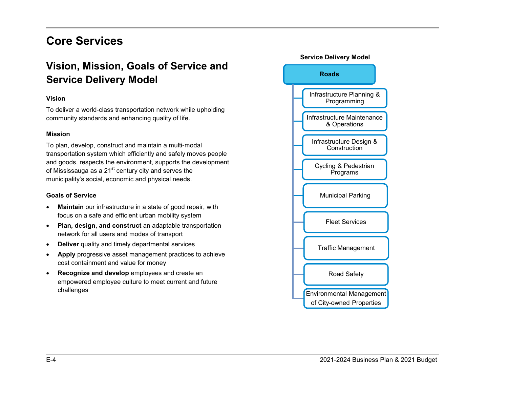# <span id="page-4-0"></span>**Core Services**

## <span id="page-4-1"></span>**Vision, Mission, Goals of Service and Service Delivery Model**

#### **Vision**

To deliver a world-class transportation network while upholding community standards and enhancing quality of life.

#### **Mission**

To plan, develop, construct and maintain a multi-modal transportation system which efficiently and safely moves people and goods, respects the environment, supports the development of Mississauga as a  $21<sup>st</sup>$  century city and serves the municipality's social, economic and physical needs.

#### **Goals of Service**

- **Maintain** our infrastructure in a state of good repair, with focus on a safe and efficient urban mobility system
- **Plan, design, and construct** an adaptable transportation network for all users and modes of transport
- **Deliver** quality and timely departmental services
- **Apply** progressive asset management practices to achieve cost containment and value for money
- **Recognize and develop** employees and create an empowered employee culture to meet current and future challenges

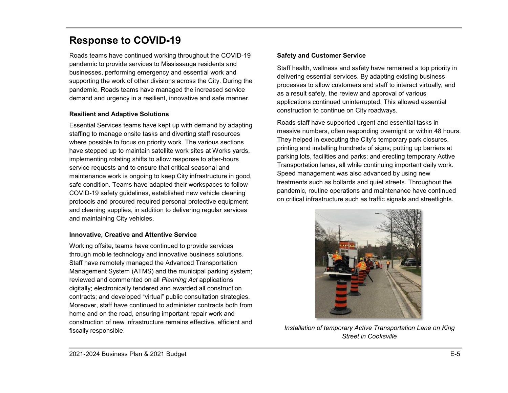## <span id="page-5-0"></span>**Response to COVID-19**

Roads teams have continued working throughout the COVID-19 pandemic to provide services to Mississauga residents and businesses, performing emergency and essential work and supporting the work of other divisions across the City. During the pandemic, Roads teams have managed the increased service demand and urgency in a resilient, innovative and safe manner.

## **Resilient and Adaptive Solutions**

Essential Services teams have kept up with demand by adapting staffing to manage onsite tasks and diverting staff resources where possible to focus on priority work. The various sections have stepped up to maintain satellite work sites at Works yards, implementing rotating shifts to allow response to after-hours service requests and to ensure that critical seasonal and maintenance work is ongoing to keep City infrastructure in good, safe condition. Teams have adapted their workspaces to follow COVID-19 safety guidelines, established new vehicle cleaning protocols and procured required personal protective equipment and cleaning supplies, in addition to delivering regular services and maintaining City vehicles.

## **Innovative, Creative and Attentive Service**

Working offsite, teams have continued to provide services through mobile technology and innovative business solutions. Staff have remotely managed the Advanced Transportation Management System (ATMS) and the municipal parking system; reviewed and commented on all *Planning Act* applications digitally; electronically tendered and awarded all construction contracts; and developed "virtual" public consultation strategies. Moreover, staff have continued to administer contracts both from home and on the road, ensuring important repair work and construction of new infrastructure remains effective, efficient and fiscally responsible.

## **Safety and Customer Service**

Staff health, wellness and safety have remained a top priority in delivering essential services. By adapting existing business processes to allow customers and staff to interact virtually, and as a result safely, the review and approval of various applications continued uninterrupted. This allowed essential construction to continue on City roadways.

Roads staff have supported urgent and essential tasks in massive numbers, often responding overnight or within 48 hours. They helped in executing the City's temporary park closures, printing and installing hundreds of signs; putting up barriers at parking lots, facilities and parks; and erecting temporary Active Transportation lanes, all while continuing important daily work. Speed management was also advanced by using new treatments such as bollards and quiet streets. Throughout the pandemic, routine operations and maintenance have continued on critical infrastructure such as traffic signals and streetlights.



*Installation of temporary Active Transportation Lane on King Street in Cooksville*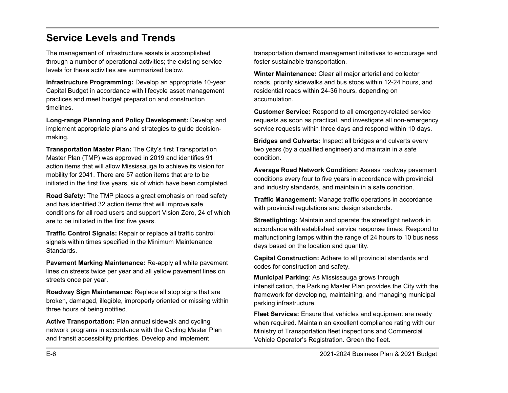## <span id="page-6-0"></span>**Service Levels and Trends**

The management of infrastructure assets is accomplished through a number of operational activities; the existing service levels for these activities are summarized below.

**Infrastructure Programming:** Develop an appropriate 10-year Capital Budget in accordance with lifecycle asset management practices and meet budget preparation and construction timelines.

**Long-range Planning and Policy Development:** Develop and implement appropriate plans and strategies to guide decisionmaking.

**Transportation Master Plan:** The City's first Transportation Master Plan (TMP) was approved in 2019 and identifies 91 action items that will allow Mississauga to achieve its vision for mobility for 2041. There are 57 action items that are to be initiated in the first five years, six of which have been completed.

**Road Safety:** The TMP places a great emphasis on road safety and has identified 32 action items that will improve safe conditions for all road users and support Vision Zero, 24 of which are to be initiated in the first five years.

**Traffic Control Signals:** Repair or replace all traffic control signals within times specified in the Minimum Maintenance Standards.

**Pavement Marking Maintenance:** Re-apply all white pavement lines on streets twice per year and all yellow pavement lines on streets once per year.

**Roadway Sign Maintenance:** Replace all stop signs that are broken, damaged, illegible, improperly oriented or missing within three hours of being notified.

**Active Transportation:** Plan annual sidewalk and cycling network programs in accordance with the Cycling Master Plan and transit accessibility priorities. Develop and implement

transportation demand management initiatives to encourage and foster sustainable transportation.

**Winter Maintenance:** Clear all major arterial and collector roads, priority sidewalks and bus stops within 12-24 hours, and residential roads within 24-36 hours, depending on accumulation.

**Customer Service:** Respond to all emergency-related service requests as soon as practical, and investigate all non-emergency service requests within three days and respond within 10 days.

**Bridges and Culverts:** Inspect all bridges and culverts every two years (by a qualified engineer) and maintain in a safe condition.

**Average Road Network Condition:** Assess roadway pavement conditions every four to five years in accordance with provincial and industry standards, and maintain in a safe condition.

**Traffic Management:** Manage traffic operations in accordance with provincial regulations and design standards.

**Streetlighting:** Maintain and operate the streetlight network in accordance with established service response times. Respond to malfunctioning lamps within the range of 24 hours to 10 business days based on the location and quantity.

**Capital Construction:** Adhere to all provincial standards and codes for construction and safety.

**Municipal Parking**: As Mississauga grows through intensification, the Parking Master Plan provides the City with the framework for developing, maintaining, and managing municipal parking infrastructure.

**Fleet Services:** Ensure that vehicles and equipment are ready when required. Maintain an excellent compliance rating with our Ministry of Transportation fleet inspections and Commercial Vehicle Operator's Registration. Green the fleet.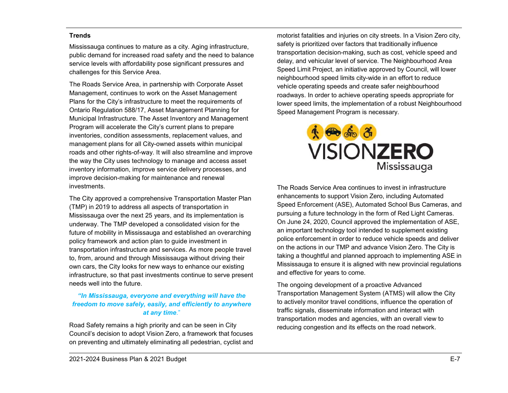#### **Trends**

Mississauga continues to mature as a city. Aging infrastructure, public demand for increased road safety and the need to balance service levels with affordability pose significant pressures and challenges for this Service Area.

The Roads Service Area, in partnership with Corporate Asset Management, continues to work on the Asset Management Plans for the City's infrastructure to meet the requirements of Ontario Regulation 588/17, Asset Management Planning for Municipal Infrastructure. The Asset Inventory and Management Program will accelerate the City's current plans to prepare inventories, condition assessments, replacement values, and management plans for all City-owned assets within municipal roads and other rights-of-way. It will also streamline and improve the way the City uses technology to manage and access asset inventory information, improve service delivery processes, and improve decision-making for maintenance and renewal investments.

The City approved a comprehensive Transportation Master Plan (TMP) in 2019 to address all aspects of transportation in Mississauga over the next 25 years, and its implementation is underway. The TMP developed a consolidated vision for the future of mobility in Mississauga and established an overarching policy framework and action plan to guide investment in transportation infrastructure and services. As more people travel to, from, around and through Mississauga without driving their own cars, the City looks for new ways to enhance our existing infrastructure, so that past investments continue to serve present needs well into the future.

### *"In Mississauga, everyone and everything will have the freedom to move safely, easily, and efficiently to anywhere at any time*."

Road Safety remains a high priority and can be seen in City Council's decision to adopt Vision Zero, a framework that focuses on preventing and ultimately eliminating all pedestrian, cyclist and

motorist fatalities and injuries on city streets. In a Vision Zero city, safety is prioritized over factors that traditionally influence transportation decision-making, such as cost, vehicle speed and delay, and vehicular level of service. The Neighbourhood Area Speed Limit Project, an initiative approved by Council, will lower neighbourhood speed limits city-wide in an effort to reduce vehicle operating speeds and create safer neighbourhood roadways. In order to achieve operating speeds appropriate for lower speed limits, the implementation of a robust Neighbourhood Speed Management Program is necessary.



The Roads Service Area continues to invest in infrastructure enhancements to support Vision Zero, including Automated Speed Enforcement (ASE), Automated School Bus Cameras, and pursuing a future technology in the form of Red Light Cameras. On June 24, 2020, Council approved the implementation of ASE, an important technology tool intended to supplement existing police enforcement in order to reduce vehicle speeds and deliver on the actions in our TMP and advance Vision Zero. The City is taking a thoughtful and planned approach to implementing ASE in Mississauga to ensure it is aligned with new provincial regulations and effective for years to come.

The ongoing development of a proactive Advanced Transportation Management System (ATMS) will allow the City to actively monitor travel conditions, influence the operation of traffic signals, disseminate information and interact with transportation modes and agencies, with an overall view to reducing congestion and its effects on the road network.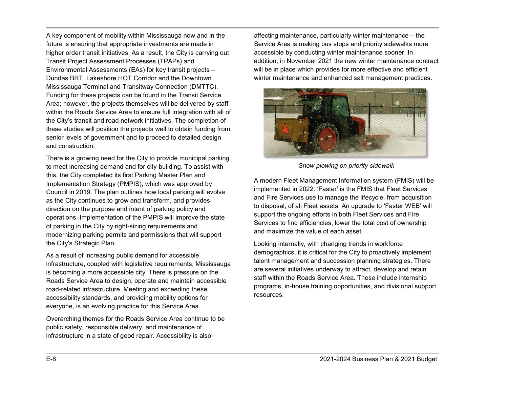A key component of mobility within Mississauga now and in the future is ensuring that appropriate investments are made in higher order transit initiatives. As a result, the City is carrying out Transit Project Assessment Processes (TPAPs) and Environmental Assessments (EAs) for key transit projects – Dundas BRT, Lakeshore HOT Corridor and the Downtown Mississauga Terminal and Transitway Connection (DMTTC). Funding for these projects can be found in the Transit Service Area; however, the projects themselves will be delivered by staff within the Roads Service Area to ensure full integration with all of the City's transit and road network initiatives. The completion of these studies will position the projects well to obtain funding from senior levels of government and to proceed to detailed design and construction.

There is a growing need for the City to provide municipal parking to meet increasing demand and for city-building. To assist with this, the City completed its first Parking Master Plan and Implementation Strategy (PMPIS), which was approved by Council in 2019. The plan outlines how local parking will evolve as the City continues to grow and transform, and provides direction on the purpose and intent of parking policy and operations. Implementation of the PMPIS will improve the state of parking in the City by right-sizing requirements and modernizing parking permits and permissions that will support the City's Strategic Plan.

As a result of increasing public demand for accessible infrastructure, coupled with legislative requirements, Mississauga is becoming a more accessible city. There is pressure on the Roads Service Area to design, operate and maintain accessible road-related infrastructure. Meeting and exceeding these accessibility standards, and providing mobility options for everyone, is an evolving practice for this Service Area.

Overarching themes for the Roads Service Area continue to be public safety, responsible delivery, and maintenance of infrastructure in a state of good repair. Accessibility is also

affecting maintenance, particularly winter maintenance – the Service Area is making bus stops and priority sidewalks more accessible by conducting winter maintenance sooner. In addition, in November 2021 the new winter maintenance contract will be in place which provides for more effective and efficient winter maintenance and enhanced salt management practices.



*Snow plowing on priority sidewalk*

A modern Fleet Management Information system (FMIS) will be implemented in 2022. 'Faster' is the FMIS that Fleet Services and Fire Services use to manage the lifecycle, from acquisition to disposal, of all Fleet assets. An upgrade to 'Faster WEB' will support the ongoing efforts in both Fleet Services and Fire Services to find efficiencies, lower the total cost of ownership and maximize the value of each asset.

Looking internally, with changing trends in workforce demographics, it is critical for the City to proactively implement talent management and succession planning strategies. There are several initiatives underway to attract, develop and retain staff within the Roads Service Area. These include internship programs, in-house training opportunities, and divisional support resources.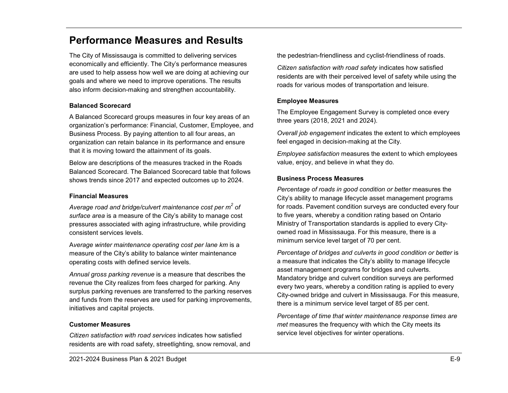## <span id="page-9-0"></span>**Performance Measures and Results**

The City of Mississauga is committed to delivering services economically and efficiently. The City's performance measures are used to help assess how well we are doing at achieving our goals and where we need to improve operations. The results also inform decision-making and strengthen accountability.

#### **Balanced Scorecard**

A Balanced Scorecard groups measures in four key areas of an organization's performance: Financial, Customer, Employee, and Business Process. By paying attention to all four areas, an organization can retain balance in its performance and ensure that it is moving toward the attainment of its goals.

Below are descriptions of the measures tracked in the Roads Balanced Scorecard. The Balanced Scorecard table that follows shows trends since 2017 and expected outcomes up to 2024.

#### **Financial Measures**

*Average road and bridge/culvert maintenance cost per m2 of surface area* is a measure of the City's ability to manage cost pressures associated with aging infrastructure, while providing consistent services levels.

A*verage winter maintenance operating cost per lane km* is a measure of the City's ability to balance winter maintenance operating costs with defined service levels.

*Annual gross parking revenue* is a measure that describes the revenue the City realizes from fees charged for parking. Any surplus parking revenues are transferred to the parking reserves and funds from the reserves are used for parking improvements, initiatives and capital projects.

#### **Customer Measures**

*Citizen satisfaction with road services* indicates how satisfied residents are with road safety, streetlighting, snow removal, and the pedestrian-friendliness and cyclist-friendliness of roads.

*Citizen satisfaction with road safety* indicates how satisfied residents are with their perceived level of safety while using the roads for various modes of transportation and leisure.

#### **Employee Measures**

The Employee Engagement Survey is completed once every three years (2018, 2021 and 2024).

*Overall job engagement* indicates the extent to which employees feel engaged in decision-making at the City.

*Employee satisfaction* measures the extent to which employees value, enjoy, and believe in what they do.

#### **Business Process Measures**

*Percentage of roads in good condition or better* measures the City's ability to manage lifecycle asset management programs for roads. Pavement condition surveys are conducted every four to five years, whereby a condition rating based on Ontario Ministry of Transportation standards is applied to every Cityowned road in Mississauga. For this measure, there is a minimum service level target of 70 per cent.

*Percentage of bridges and culverts in good condition or better* is a measure that indicates the City's ability to manage lifecycle asset management programs for bridges and culverts. Mandatory bridge and culvert condition surveys are performed every two years, whereby a condition rating is applied to every City-owned bridge and culvert in Mississauga. For this measure, there is a minimum service level target of 85 per cent.

*Percentage of time that winter maintenance response times are met* measures the frequency with which the City meets its service level objectives for winter operations.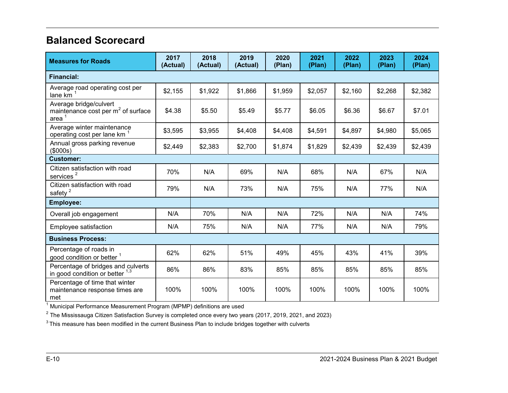## <span id="page-10-0"></span>**Balanced Scorecard**

| <b>Measures for Roads</b>                                                        | 2017<br>(Actual) | 2018<br>(Actual) | 2019<br>(Actual) | 2020<br>(Plan) | 2021<br>(Plan) | 2022<br>(Plan) | 2023<br>(Plan) | 2024<br>(Plan) |
|----------------------------------------------------------------------------------|------------------|------------------|------------------|----------------|----------------|----------------|----------------|----------------|
| <b>Financial:</b>                                                                |                  |                  |                  |                |                |                |                |                |
| Average road operating cost per<br>lane km <sup>2</sup>                          | \$2,155          | \$1,922          | \$1,866          | \$1,959        | \$2,057        | \$2,160        | \$2,268        | \$2,382        |
| Average bridge/culvert<br>maintenance cost per m <sup>2</sup> of surface<br>area | \$4.38           | \$5.50           | \$5.49           | \$5.77         | \$6.05         | \$6.36         | \$6.67         | \$7.01         |
| Average winter maintenance<br>operating cost per lane km                         | \$3,595          | \$3,955          | \$4,408          | \$4,408        | \$4,591        | \$4,897        | \$4,980        | \$5,065        |
| Annual gross parking revenue<br>(\$000s)                                         | \$2,449          | \$2,383          | \$2,700          | \$1,874        | \$1,829        | \$2,439        | \$2,439        | \$2,439        |
| <b>Customer:</b>                                                                 |                  |                  |                  |                |                |                |                |                |
| Citizen satisfaction with road<br>services <sup>2</sup>                          | 70%              | N/A              | 69%              | N/A            | 68%            | N/A            | 67%            | N/A            |
| Citizen satisfaction with road<br>$s$ afety <sup>2</sup>                         | 79%              | N/A              | 73%              | N/A            | 75%            | N/A            | 77%            | N/A            |
| <b>Employee:</b>                                                                 |                  |                  |                  |                |                |                |                |                |
| Overall job engagement                                                           | N/A              | 70%              | N/A              | N/A            | 72%            | N/A            | N/A            | 74%            |
| Employee satisfaction                                                            | N/A              | 75%              | N/A              | N/A            | 77%            | N/A            | N/A            | 79%            |
| <b>Business Process:</b>                                                         |                  |                  |                  |                |                |                |                |                |
| Percentage of roads in<br>good condition or better <sup>1</sup>                  | 62%              | 62%              | 51%              | 49%            | 45%            | 43%            | 41%            | 39%            |
| Percentage of bridges and culverts<br>in good condition or better $1,3$          | 86%              | 86%              | 83%              | 85%            | 85%            | 85%            | 85%            | 85%            |
| Percentage of time that winter<br>maintenance response times are<br>met          | 100%             | 100%             | 100%             | 100%           | 100%           | 100%           | 100%           | 100%           |

 $^{\rm 1}$  Municipal Performance Measurement Program (MPMP) definitions are used

 $^{\text{2}}$  The Mississauga Citizen Satisfaction Survey is completed once every two years (2017, 2019, 2021, and 2023)

 $3$  This measure has been modified in the current Business Plan to include bridges together with culverts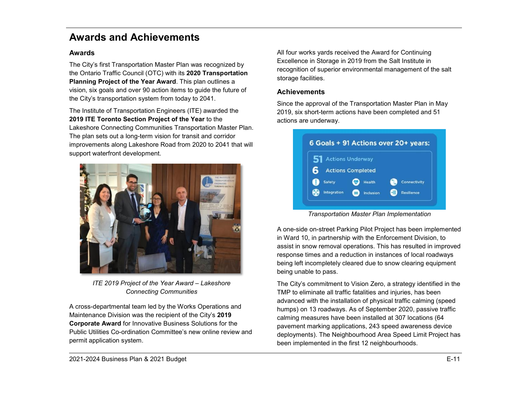## <span id="page-11-0"></span>**Awards and Achievements**

## **Awards**

The City's first Transportation Master Plan was recognized by the Ontario Traffic Council (OTC) with its **2020 Transportation Planning Project of the Year Award**. This plan outlines a vision, six goals and over 90 action items to guide the future of the City's transportation system from today to 2041.

The Institute of Transportation Engineers (ITE) awarded the **2019 ITE Toronto Section Project of the Year** to the Lakeshore Connecting Communities Transportation Master Plan. The plan sets out a long-term vision for transit and corridor improvements along Lakeshore Road from 2020 to 2041 that will support waterfront development.



*ITE 2019 Project of the Year Award – Lakeshore Connecting Communities*

A cross-departmental team led by the Works Operations and Maintenance Division was the recipient of the City's **2019 Corporate Award** for Innovative Business Solutions for the Public Utilities Co-ordination Committee's new online review and permit application system.

All four works yards received the Award for Continuing Excellence in Storage in 2019 from the Salt Institute in recognition of superior environmental management of the salt storage facilities.

## **Achievements**

Since the approval of the Transportation Master Plan in May 2019, six short-term actions have been completed and 51 actions are underway.



*Transportation Master Plan Implementation*

A one-side on-street Parking Pilot Project has been implemented in Ward 10, in partnership with the Enforcement Division, to assist in snow removal operations. This has resulted in improved response times and a reduction in instances of local roadways being left incompletely cleared due to snow clearing equipment being unable to pass.

The City's commitment to Vision Zero, a strategy identified in the TMP to eliminate all traffic fatalities and injuries, has been advanced with the installation of physical traffic calming (speed humps) on 13 roadways. As of September 2020, passive traffic calming measures have been installed at 307 locations (64 pavement marking applications, 243 speed awareness device deployments). The Neighbourhood Area Speed Limit Project has been implemented in the first 12 neighbourhoods.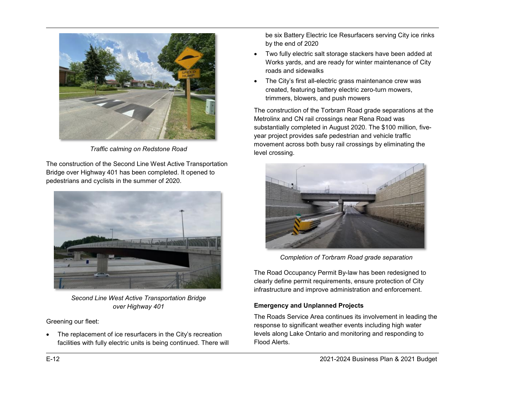

*Traffic calming on Redstone Road*

The construction of the Second Line West Active Transportation Bridge over Highway 401 has been completed. It opened to pedestrians and cyclists in the summer of 2020.



*Second Line West Active Transportation Bridge over Highway 401*

Greening our fleet:

The replacement of ice resurfacers in the City's recreation facilities with fully electric units is being continued. There will

be six Battery Electric Ice Resurfacers serving City ice rinks by the end of 2020

- Two fully electric salt storage stackers have been added at Works yards, and are ready for winter maintenance of City roads and sidewalks
- The City's first all-electric grass maintenance crew was created, featuring battery electric zero-turn mowers, trimmers, blowers, and push mowers

The construction of the Torbram Road grade separations at the Metrolinx and CN rail crossings near Rena Road was substantially completed in August 2020. The \$100 million, fiveyear project provides safe pedestrian and vehicle traffic movement across both busy rail crossings by eliminating the level crossing.



*Completion of Torbram Road grade separation*

The Road Occupancy Permit By-law has been redesigned to clearly define permit requirements, ensure protection of City infrastructure and improve administration and enforcement.

## **Emergency and Unplanned Projects**

The Roads Service Area continues its involvement in leading the response to significant weather events including high water levels along Lake Ontario and monitoring and responding to Flood Alerts.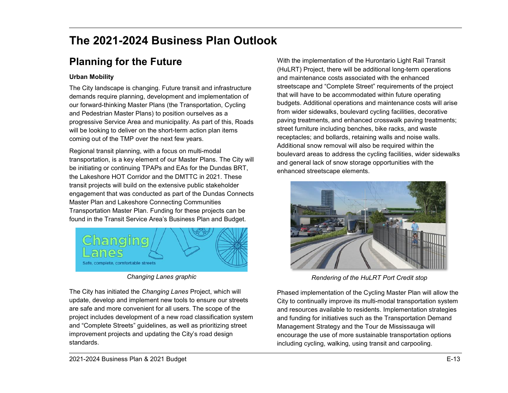# <span id="page-13-0"></span>**The 2021-2024 Business Plan Outlook**

# <span id="page-13-1"></span>**Planning for the Future**

## **Urban Mobility**

The City landscape is changing. Future transit and infrastructure demands require planning, development and implementation of our forward-thinking Master Plans (the Transportation, Cycling and Pedestrian Master Plans) to position ourselves as a progressive Service Area and municipality. As part of this, Roads will be looking to deliver on the short-term action plan items coming out of the TMP over the next few years.

Regional transit planning, with a focus on multi-modal transportation, is a key element of our Master Plans. The City will be initiating or continuing TPAPs and EAs for the Dundas BRT, the Lakeshore HOT Corridor and the DMTTC in 2021. These transit projects will build on the extensive public stakeholder engagement that was conducted as part of the Dundas Connects Master Plan and Lakeshore Connecting Communities Transportation Master Plan. Funding for these projects can be found in the Transit Service Area's Business Plan and Budget.



*Changing Lanes graphic*

The City has initiated the *Changing Lanes* Project, which will update, develop and implement new tools to ensure our streets are safe and more convenient for all users. The scope of the project includes development of a new road classification system and "Complete Streets" guidelines, as well as prioritizing street improvement projects and updating the City's road design standards.

With the implementation of the Hurontario Light Rail Transit (HuLRT) Project, there will be additional long-term operations and maintenance costs associated with the enhanced streetscape and "Complete Street" requirements of the project that will have to be accommodated within future operating budgets. Additional operations and maintenance costs will arise from wider sidewalks, boulevard cycling facilities, decorative paving treatments, and enhanced crosswalk paving treatments; street furniture including benches, bike racks, and waste receptacles; and bollards, retaining walls and noise walls. Additional snow removal will also be required within the boulevard areas to address the cycling facilities, wider sidewalks and general lack of snow storage opportunities with the enhanced streetscape elements.



*Rendering of the HuLRT Port Credit stop*

Phased implementation of the Cycling Master Plan will allow the City to continually improve its multi-modal transportation system and resources available to residents. Implementation strategies and funding for initiatives such as the Transportation Demand Management Strategy and the Tour de Mississauga will encourage the use of more sustainable transportation options including cycling, walking, using transit and carpooling.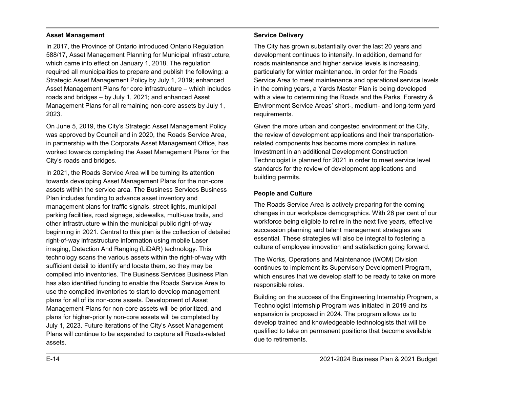#### **Asset Management**

In 2017, the Province of Ontario introduced Ontario Regulation 588/17, Asset Management Planning for Municipal Infrastructure, which came into effect on January 1, 2018. The regulation required all municipalities to prepare and publish the following: a Strategic Asset Management Policy by July 1, 2019; enhanced Asset Management Plans for core infrastructure – which includes roads and bridges – by July 1, 2021; and enhanced Asset Management Plans for all remaining non-core assets by July 1, 2023.

On June 5, 2019, the City's Strategic Asset Management Policy was approved by Council and in 2020, the Roads Service Area, in partnership with the Corporate Asset Management Office, has worked towards completing the Asset Management Plans for the City's roads and bridges.

In 2021, the Roads Service Area will be turning its attention towards developing Asset Management Plans for the non-core assets within the service area. The Business Services Business Plan includes funding to advance asset inventory and management plans for traffic signals, street lights, municipal parking facilities, road signage, sidewalks, multi-use trails, and other infrastructure within the municipal public right-of-way beginning in 2021. Central to this plan is the collection of detailed right-of-way infrastructure information using mobile Laser imaging, Detection And Ranging (LiDAR) technology. This technology scans the various assets within the right-of-way with sufficient detail to identify and locate them, so they may be compiled into inventories. The Business Services Business Plan has also identified funding to enable the Roads Service Area to use the compiled inventories to start to develop management plans for all of its non-core assets. Development of Asset Management Plans for non-core assets will be prioritized, and plans for higher-priority non-core assets will be completed by July 1, 2023. Future iterations of the City's Asset Management Plans will continue to be expanded to capture all Roads-related assets.

#### **Service Delivery**

The City has grown substantially over the last 20 years and development continues to intensify. In addition, demand for roads maintenance and higher service levels is increasing, particularly for winter maintenance. In order for the Roads Service Area to meet maintenance and operational service levels in the coming years, a Yards Master Plan is being developed with a view to determining the Roads and the Parks, Forestry & Environment Service Areas' short-, medium- and long-term yard requirements.

Given the more urban and congested environment of the City, the review of development applications and their transportationrelated components has become more complex in nature. Investment in an additional Development Construction Technologist is planned for 2021 in order to meet service level standards for the review of development applications and building permits.

#### **People and Culture**

The Roads Service Area is actively preparing for the coming changes in our workplace demographics. With 26 per cent of our workforce being eligible to retire in the next five years, effective succession planning and talent management strategies are essential. These strategies will also be integral to fostering a culture of employee innovation and satisfaction going forward.

The Works, Operations and Maintenance (WOM) Division continues to implement its Supervisory Development Program, which ensures that we develop staff to be ready to take on more responsible roles.

Building on the success of the Engineering Internship Program, a Technologist Internship Program was initiated in 2019 and its expansion is proposed in 2024. The program allows us to develop trained and knowledgeable technologists that will be qualified to take on permanent positions that become available due to retirements.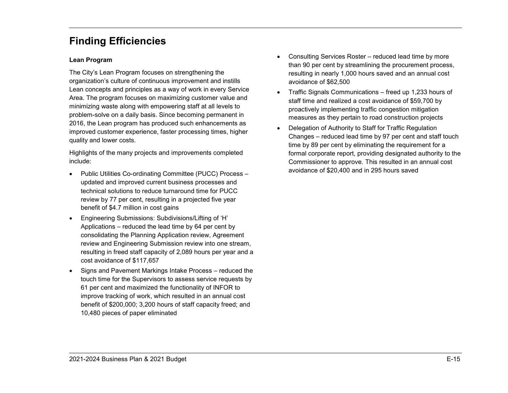## <span id="page-15-0"></span>**Finding Efficiencies**

#### **Lean Program**

The City's Lean Program focuses on strengthening the organization's culture of continuous improvement and instills Lean concepts and principles as a way of work in every Service Area. The program focuses on maximizing customer value and minimizing waste along with empowering staff at all levels to problem-solve on a daily basis. Since becoming permanent in 2016, the Lean program has produced such enhancements as improved customer experience, faster processing times, higher quality and lower costs.

Highlights of the many projects and improvements completed include:

- Public Utilities Co-ordinating Committee (PUCC) Process updated and improved current business processes and technical solutions to reduce turnaround time for PUCC review by 77 per cent, resulting in a projected five year benefit of \$4.7 million in cost gains
- Engineering Submissions: Subdivisions/Lifting of 'H' Applications – reduced the lead time by 64 per cent by consolidating the Planning Application review, Agreement review and Engineering Submission review into one stream, resulting in freed staff capacity of 2,089 hours per year and a cost avoidance of \$117,657
- Signs and Pavement Markings Intake Process reduced the touch time for the Supervisors to assess service requests by 61 per cent and maximized the functionality of INFOR to improve tracking of work, which resulted in an annual cost benefit of \$200,000; 3,200 hours of staff capacity freed; and 10,480 pieces of paper eliminated
- Consulting Services Roster reduced lead time by more than 90 per cent by streamlining the procurement process, resulting in nearly 1,000 hours saved and an annual cost avoidance of \$62,500
- Traffic Signals Communications freed up 1,233 hours of staff time and realized a cost avoidance of \$59,700 by proactively implementing traffic congestion mitigation measures as they pertain to road construction projects
- Delegation of Authority to Staff for Traffic Regulation Changes – reduced lead time by 97 per cent and staff touch time by 89 per cent by eliminating the requirement for a formal corporate report, providing designated authority to the Commissioner to approve. This resulted in an annual cost avoidance of \$20,400 and in 295 hours saved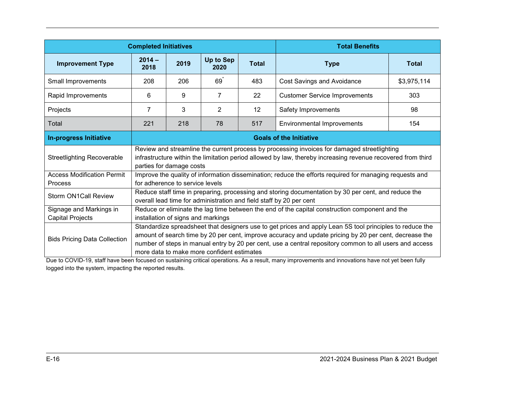|                                              | <b>Completed Initiatives</b>                                                                                                                                                                                                                                                                                                                                                | <b>Total Benefits</b>              |                   |              |                                                                                                                                                                                                            |              |  |  |
|----------------------------------------------|-----------------------------------------------------------------------------------------------------------------------------------------------------------------------------------------------------------------------------------------------------------------------------------------------------------------------------------------------------------------------------|------------------------------------|-------------------|--------------|------------------------------------------------------------------------------------------------------------------------------------------------------------------------------------------------------------|--------------|--|--|
| <b>Improvement Type</b>                      | $2014 -$<br>2018                                                                                                                                                                                                                                                                                                                                                            | 2019                               | Up to Sep<br>2020 | <b>Total</b> | <b>Type</b>                                                                                                                                                                                                | <b>Total</b> |  |  |
| Small Improvements                           | 208                                                                                                                                                                                                                                                                                                                                                                         | 206                                | $69^{\degree}$    | 483          | <b>Cost Savings and Avoidance</b>                                                                                                                                                                          | \$3,975,114  |  |  |
| Rapid Improvements                           | 6                                                                                                                                                                                                                                                                                                                                                                           | 9                                  | $\overline{7}$    | 22           | <b>Customer Service Improvements</b>                                                                                                                                                                       | 303          |  |  |
| Projects                                     | $\overline{7}$                                                                                                                                                                                                                                                                                                                                                              | 3                                  | 2                 | 12           | Safety Improvements                                                                                                                                                                                        | 98           |  |  |
| Total                                        | 221                                                                                                                                                                                                                                                                                                                                                                         | 218                                | 78                | 517          | <b>Environmental Improvements</b>                                                                                                                                                                          | 154          |  |  |
| <b>In-progress Initiative</b>                | <b>Goals of the Initiative</b>                                                                                                                                                                                                                                                                                                                                              |                                    |                   |              |                                                                                                                                                                                                            |              |  |  |
| <b>Streetlighting Recoverable</b>            |                                                                                                                                                                                                                                                                                                                                                                             | parties for damage costs           |                   |              | Review and streamline the current process by processing invoices for damaged streetlighting<br>infrastructure within the limitation period allowed by law, thereby increasing revenue recovered from third |              |  |  |
| <b>Access Modification Permit</b><br>Process |                                                                                                                                                                                                                                                                                                                                                                             | for adherence to service levels    |                   |              | Improve the quality of information dissemination; reduce the efforts required for managing requests and                                                                                                    |              |  |  |
| <b>Storm ON1Call Review</b>                  |                                                                                                                                                                                                                                                                                                                                                                             |                                    |                   |              | Reduce staff time in preparing, processing and storing documentation by 30 per cent, and reduce the<br>overall lead time for administration and field staff by 20 per cent                                 |              |  |  |
| Signage and Markings in                      |                                                                                                                                                                                                                                                                                                                                                                             |                                    |                   |              | Reduce or eliminate the lag time between the end of the capital construction component and the                                                                                                             |              |  |  |
| <b>Capital Projects</b>                      |                                                                                                                                                                                                                                                                                                                                                                             | installation of signs and markings |                   |              |                                                                                                                                                                                                            |              |  |  |
| <b>Bids Pricing Data Collection</b>          | Standardize spreadsheet that designers use to get prices and apply Lean 5S tool principles to reduce the<br>amount of search time by 20 per cent, improve accuracy and update pricing by 20 per cent, decrease the<br>number of steps in manual entry by 20 per cent, use a central repository common to all users and access<br>more data to make more confident estimates |                                    |                   |              |                                                                                                                                                                                                            |              |  |  |

Due to COVID-19, staff have been focused on sustaining critical operations. As a result, many improvements and innovations have not yet been fully logged into the system, impacting the reported results.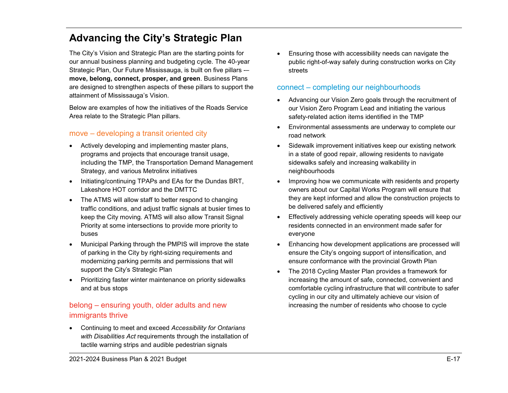## <span id="page-17-0"></span>**Advancing the City's Strategic Plan**

The City's Vision and Strategic Plan are the starting points for our annual business planning and budgeting cycle. The 40-year Strategic Plan, Our Future Mississauga, is built on five pillars -– **move, belong, connect, prosper, and green**. Business Plans are designed to strengthen aspects of these pillars to support the attainment of Mississauga's Vision.

Below are examples of how the initiatives of the Roads Service Area relate to the Strategic Plan pillars.

## move – developing a transit oriented city

- Actively developing and implementing master plans, programs and projects that encourage transit usage, including the TMP, the Transportation Demand Management Strategy, and various Metrolinx initiatives
- Initiating/continuing TPAPs and EAs for the Dundas BRT, Lakeshore HOT corridor and the DMTTC
- The ATMS will allow staff to better respond to changing traffic conditions, and adjust traffic signals at busier times to keep the City moving. ATMS will also allow Transit Signal Priority at some intersections to provide more priority to buses
- Municipal Parking through the PMPIS will improve the state of parking in the City by right-sizing requirements and modernizing parking permits and permissions that will support the City's Strategic Plan
- Prioritizing faster winter maintenance on priority sidewalks and at bus stops

## belong – ensuring youth, older adults and new immigrants thrive

• Continuing to meet and exceed *Accessibility for Ontarians with Disabilities Act* requirements through the installation of tactile warning strips and audible pedestrian signals

• Ensuring those with accessibility needs can navigate the public right-of-way safely during construction works on City streets

## connect – completing our neighbourhoods

- Advancing our Vision Zero goals through the recruitment of our Vision Zero Program Lead and initiating the various safety-related action items identified in the TMP
- Environmental assessments are underway to complete our road network
- Sidewalk improvement initiatives keep our existing network in a state of good repair, allowing residents to navigate sidewalks safely and increasing walkability in neighbourhoods
- Improving how we communicate with residents and property owners about our Capital Works Program will ensure that they are kept informed and allow the construction projects to be delivered safely and efficiently
- Effectively addressing vehicle operating speeds will keep our residents connected in an environment made safer for everyone
- Enhancing how development applications are processed will ensure the City's ongoing support of intensification, and ensure conformance with the provincial Growth Plan
- The 2018 Cycling Master Plan provides a framework for increasing the amount of safe, connected, convenient and comfortable cycling infrastructure that will contribute to safer cycling in our city and ultimately achieve our vision of increasing the number of residents who choose to cycle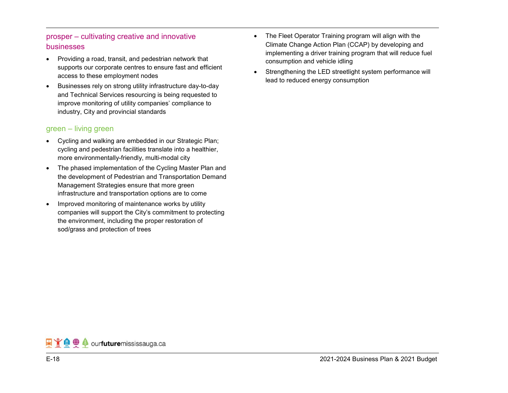## prosper – cultivating creative and innovative businesses

- Providing a road, transit, and pedestrian network that supports our corporate centres to ensure fast and efficient access to these employment nodes
- Businesses rely on strong utility infrastructure day-to-day and Technical Services resourcing is being requested to improve monitoring of utility companies' compliance to industry, City and provincial standards

## green – living green

- Cycling and walking are embedded in our Strategic Plan; cycling and pedestrian facilities translate into a healthier, more environmentally-friendly, multi-modal city
- The phased implementation of the Cycling Master Plan and the development of Pedestrian and Transportation Demand Management Strategies ensure that more green infrastructure and transportation options are to come
- Improved monitoring of maintenance works by utility companies will support the City's commitment to protecting the environment, including the proper restoration of sod/grass and protection of trees
- The Fleet Operator Training program will align with the Climate Change Action Plan (CCAP) by developing and implementing a driver training program that will reduce fuel consumption and vehicle idling
- Strengthening the LED streetlight system performance will lead to reduced energy consumption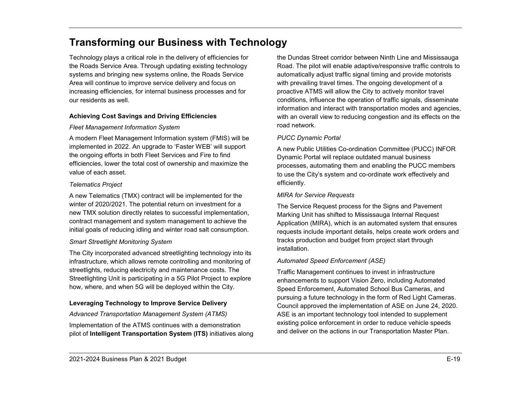## <span id="page-19-0"></span>**Transforming our Business with Technology**

Technology plays a critical role in the delivery of efficiencies for the Roads Service Area. Through updating existing technology systems and bringing new systems online, the Roads Service Area will continue to improve service delivery and focus on increasing efficiencies, for internal business processes and for our residents as well.

## **Achieving Cost Savings and Driving Efficiencies**

## *Fleet Management Information System*

A modern Fleet Management Information system (FMIS) will be implemented in 2022. An upgrade to 'Faster WEB' will support the ongoing efforts in both Fleet Services and Fire to find efficiencies, lower the total cost of ownership and maximize the value of each asset.

## *Telematics Project*

A new Telematics (TMX) contract will be implemented for the winter of 2020/2021. The potential return on investment for a new TMX solution directly relates to successful implementation, contract management and system management to achieve the initial goals of reducing idling and winter road salt consumption.

## *Smart Streetlight Monitoring System*

The City incorporated advanced streetlighting technology into its infrastructure, which allows remote controlling and monitoring of streetlights, reducing electricity and maintenance costs. The Streetlighting Unit is participating in a 5G Pilot Project to explore how, where, and when 5G will be deployed within the City.

## **Leveraging Technology to Improve Service Delivery**

## *Advanced Transportation Management System (ATMS)*

Implementation of the ATMS continues with a demonstration pilot of **Intelligent Transportation System (ITS)** initiatives along

the Dundas Street corridor between Ninth Line and Mississauga Road. The pilot will enable adaptive/responsive traffic controls to automatically adjust traffic signal timing and provide motorists with prevailing travel times. The ongoing development of a proactive ATMS will allow the City to actively monitor travel conditions, influence the operation of traffic signals, disseminate information and interact with transportation modes and agencies, with an overall view to reducing congestion and its effects on the road network.

## *PUCC Dynamic Portal*

A new Public Utilities Co-ordination Committee (PUCC) INFOR Dynamic Portal will replace outdated manual business processes, automating them and enabling the PUCC members to use the City's system and co-ordinate work effectively and efficiently.

## *MIRA for Service Requests*

The Service Request process for the Signs and Pavement Marking Unit has shifted to Mississauga Internal Request Application (MIRA), which is an automated system that ensures requests include important details, helps create work orders and tracks production and budget from project start through installation.

## *Automated Speed Enforcement (ASE)*

Traffic Management continues to invest in infrastructure enhancements to support Vision Zero, including Automated Speed Enforcement, Automated School Bus Cameras, and pursuing a future technology in the form of Red Light Cameras. Council approved the implementation of ASE on June 24, 2020. ASE is an important technology tool intended to supplement existing police enforcement in order to reduce vehicle speeds and deliver on the actions in our Transportation Master Plan.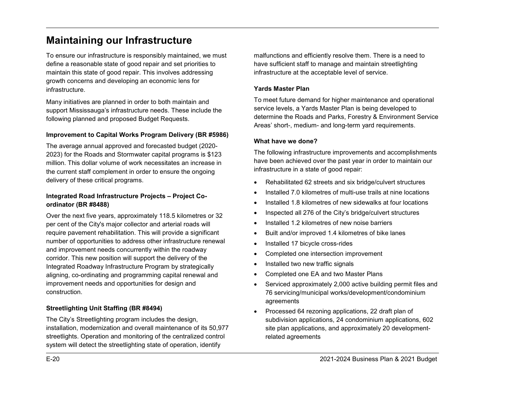## <span id="page-20-0"></span>**Maintaining our Infrastructure**

To ensure our infrastructure is responsibly maintained, we must define a reasonable state of good repair and set priorities to maintain this state of good repair. This involves addressing growth concerns and developing an economic lens for infrastructure.

Many initiatives are planned in order to both maintain and support Mississauga's infrastructure needs. These include the following planned and proposed Budget Requests.

### **Improvement to Capital Works Program Delivery (BR #5986)**

The average annual approved and forecasted budget (2020- 2023) for the Roads and Stormwater capital programs is \$123 million. This dollar volume of work necessitates an increase in the current staff complement in order to ensure the ongoing delivery of these critical programs.

### **Integrated Road Infrastructure Projects – Project Coordinator (BR #8488)**

Over the next five years, approximately 118.5 kilometres or 32 per cent of the City's major collector and arterial roads will require pavement rehabilitation. This will provide a significant number of opportunities to address other infrastructure renewal and improvement needs concurrently within the roadway corridor. This new position will support the delivery of the Integrated Roadway Infrastructure Program by strategically aligning, co-ordinating and programming capital renewal and improvement needs and opportunities for design and construction.

## **Streetlighting Unit Staffing (BR #8494)**

The City's Streetlighting program includes the design, installation, modernization and overall maintenance of its 50,977 streetlights. Operation and monitoring of the centralized control system will detect the streetlighting state of operation, identify

malfunctions and efficiently resolve them. There is a need to have sufficient staff to manage and maintain streetlighting infrastructure at the acceptable level of service.

#### **Yards Master Plan**

To meet future demand for higher maintenance and operational service levels, a Yards Master Plan is being developed to determine the Roads and Parks, Forestry & Environment Service Areas' short-, medium- and long-term yard requirements.

#### **What have we done?**

The following infrastructure improvements and accomplishments have been achieved over the past year in order to maintain our infrastructure in a state of good repair:

- Rehabilitated 62 streets and six bridge/culvert structures
- Installed 7.0 kilometres of multi-use trails at nine locations
- Installed 1.8 kilometres of new sidewalks at four locations
- Inspected all 276 of the City's bridge/culvert structures
- Installed 1.2 kilometres of new noise barriers
- Built and/or improved 1.4 kilometres of bike lanes
- Installed 17 bicycle cross-rides
- Completed one intersection improvement
- Installed two new traffic signals
- Completed one EA and two Master Plans
- Serviced approximately 2,000 active building permit files and 76 servicing/municipal works/development/condominium agreements
- Processed 64 rezoning applications, 22 draft plan of subdivision applications, 24 condominium applications, 602 site plan applications, and approximately 20 developmentrelated agreements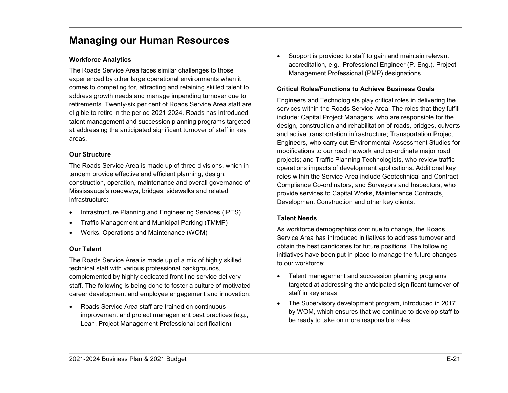## <span id="page-21-0"></span>**Managing our Human Resources**

### **Workforce Analytics**

The Roads Service Area faces similar challenges to those experienced by other large operational environments when it comes to competing for, attracting and retaining skilled talent to address growth needs and manage impending turnover due to retirements. Twenty-six per cent of Roads Service Area staff are eligible to retire in the period 2021-2024. Roads has introduced talent management and succession planning programs targeted at addressing the anticipated significant turnover of staff in key areas.

#### **Our Structure**

The Roads Service Area is made up of three divisions, which in tandem provide effective and efficient planning, design, construction, operation, maintenance and overall governance of Mississauga's roadways, bridges, sidewalks and related infrastructure:

- Infrastructure Planning and Engineering Services (IPES)
- Traffic Management and Municipal Parking (TMMP)
- Works, Operations and Maintenance (WOM)

#### **Our Talent**

The Roads Service Area is made up of a mix of highly skilled technical staff with various professional backgrounds, complemented by highly dedicated front-line service delivery staff. The following is being done to foster a culture of motivated career development and employee engagement and innovation:

• Roads Service Area staff are trained on continuous improvement and project management best practices (e.g., Lean, Project Management Professional certification)

Support is provided to staff to gain and maintain relevant accreditation, e.g., Professional Engineer (P. Eng.), Project Management Professional (PMP) designations

#### **Critical Roles/Functions to Achieve Business Goals**

Engineers and Technologists play critical roles in delivering the services within the Roads Service Area. The roles that they fulfill include: Capital Project Managers, who are responsible for the design, construction and rehabilitation of roads, bridges, culverts and active transportation infrastructure; Transportation Project Engineers, who carry out Environmental Assessment Studies for modifications to our road network and co-ordinate major road projects; and Traffic Planning Technologists, who review traffic operations impacts of development applications. Additional key roles within the Service Area include Geotechnical and Contract Compliance Co-ordinators, and Surveyors and Inspectors, who provide services to Capital Works, Maintenance Contracts, Development Construction and other key clients.

## **Talent Needs**

As workforce demographics continue to change, the Roads Service Area has introduced initiatives to address turnover and obtain the best candidates for future positions. The following initiatives have been put in place to manage the future changes to our workforce:

- Talent management and succession planning programs targeted at addressing the anticipated significant turnover of staff in key areas
- The Supervisory development program, introduced in 2017 by WOM, which ensures that we continue to develop staff to be ready to take on more responsible roles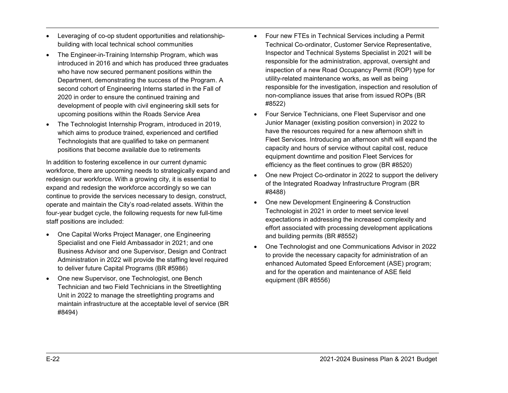- Leveraging of co-op student opportunities and relationshipbuilding with local technical school communities
- The Engineer-in-Training Internship Program, which was introduced in 2016 and which has produced three graduates who have now secured permanent positions within the Department, demonstrating the success of the Program. A second cohort of Engineering Interns started in the Fall of 2020 in order to ensure the continued training and development of people with civil engineering skill sets for upcoming positions within the Roads Service Area
- The Technologist Internship Program, introduced in 2019, which aims to produce trained, experienced and certified Technologists that are qualified to take on permanent positions that become available due to retirements

In addition to fostering excellence in our current dynamic workforce, there are upcoming needs to strategically expand and redesign our workforce. With a growing city, it is essential to expand and redesign the workforce accordingly so we can continue to provide the services necessary to design, construct, operate and maintain the City's road-related assets. Within the four-year budget cycle, the following requests for new full-time staff positions are included:

- One Capital Works Project Manager, one Engineering Specialist and one Field Ambassador in 2021; and one Business Advisor and one Supervisor, Design and Contract Administration in 2022 will provide the staffing level required to deliver future Capital Programs (BR #5986)
- One new Supervisor, one Technologist, one Bench Technician and two Field Technicians in the Streetlighting Unit in 2022 to manage the streetlighting programs and maintain infrastructure at the acceptable level of service (BR #8494)
- Four new FTEs in Technical Services including a Permit Technical Co-ordinator, Customer Service Representative, Inspector and Technical Systems Specialist in 2021 will be responsible for the administration, approval, oversight and inspection of a new Road Occupancy Permit (ROP) type for utility-related maintenance works, as well as being responsible for the investigation, inspection and resolution of non-compliance issues that arise from issued ROPs (BR #8522)
- Four Service Technicians, one Fleet Supervisor and one Junior Manager (existing position conversion) in 2022 to have the resources required for a new afternoon shift in Fleet Services. Introducing an afternoon shift will expand the capacity and hours of service without capital cost, reduce equipment downtime and position Fleet Services for efficiency as the fleet continues to grow (BR #8520)
- One new Project Co-ordinator in 2022 to support the delivery of the Integrated Roadway Infrastructure Program (BR #8488)
- One new Development Engineering & Construction Technologist in 2021 in order to meet service level expectations in addressing the increased complexity and effort associated with processing development applications and building permits (BR #8552)
- One Technologist and one Communications Advisor in 2022 to provide the necessary capacity for administration of an enhanced Automated Speed Enforcement (ASE) program; and for the operation and maintenance of ASE field equipment (BR #8556)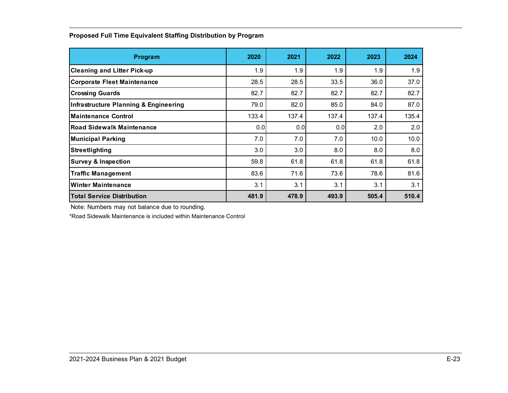| Program                                          | 2020  | 2021  | 2022  | 2023  | 2024  |
|--------------------------------------------------|-------|-------|-------|-------|-------|
| <b>Cleaning and Litter Pick-up</b>               | 1.9   | 1.9   | 1.9   | 1.9   | 1.9   |
| <b>Corporate Fleet Maintenance</b>               | 28.5  | 28.5  | 33.5  | 36.0  | 37.0  |
| <b>Crossing Guards</b>                           | 82.7  | 82.7  | 82.7  | 82.7  | 82.7  |
| <b>Infrastructure Planning &amp; Engineering</b> | 79.0  | 82.0  | 85.0  | 84.0  | 87.0  |
| <b>Maintenance Control</b>                       | 133.4 | 137.4 | 137.4 | 137.4 | 135.4 |
| <b>Road Sidewalk Maintenance</b>                 | 0.0   | 0.0   | 0.0   | 2.0   | 2.0   |
| <b>Municipal Parking</b>                         | 7.0   | 7.0   | 7.0   | 10.0  | 10.0  |
| Streetlighting                                   | 3.0   | 3.0   | 8.0   | 8.0   | 8.0   |
| <b>Survey &amp; Inspection</b>                   | 59.8  | 61.8  | 61.8  | 61.8  | 61.8  |
| <b>Traffic Management</b>                        | 83.6  | 71.6  | 73.6  | 78.6  | 81.6  |
| <b>Winter Maintenance</b>                        | 3.1   | 3.1   | 3.1   | 3.1   | 3.1   |
| <b>Total Service Distribution</b>                | 481.9 | 478.9 | 493.9 | 505.4 | 510.4 |

## **Proposed Full Time Equivalent Staffing Distribution by Program**

Note: Numbers may not balance due to rounding.

\*Road Sidewalk Maintenance is included within Maintenance Control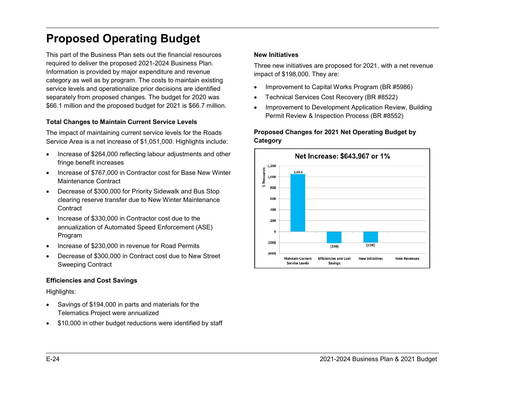# <span id="page-24-0"></span>**Proposed Operating Budget**

This part of the Business Plan sets out the financial resources required to deliver the proposed 2021-2024 Business Plan. Information is provided by major expenditure and revenue category as well as by program. The costs to maintain existing service levels and operationalize prior decisions are identified separately from proposed changes. The budget for 2020 was \$66.1 million and the proposed budget for 2021 is \$66.7 million.

#### **Total Changes to Maintain Current Service Levels**

The impact of maintaining current service levels for the Roads Service Area is a net increase of \$1,051,000. Highlights include:

- Increase of \$264,000 reflecting labour adjustments and other fringe benefit increases
- Increase of \$767,000 in Contractor cost for Base New Winter Maintenance Contract
- Decrease of \$300,000 for Priority Sidewalk and Bus Stop clearing reserve transfer due to New Winter Maintenance **Contract**
- Increase of \$330,000 in Contractor cost due to the annualization of Automated Speed Enforcement (ASE) Program
- Increase of \$230,000 in revenue for Road Permits
- Decrease of \$300,000 in Contract cost due to New Street Sweeping Contract

#### **Efficiencies and Cost Savings**

Highlights:

- Savings of \$194,000 in parts and materials for the Telematics Project were annualized
- \$10,000 in other budget reductions were identified by staff

#### **New Initiatives**

Three new initiatives are proposed for 2021, with a net revenue impact of \$198,000. They are:

- Improvement to Capital Works Program (BR #5986)
- Technical Services Cost Recovery (BR #8522)
- Improvement to Development Application Review, Building Permit Review & Inspection Process (BR #8552)

## **Proposed Changes for 2021 Net Operating Budget by Category**

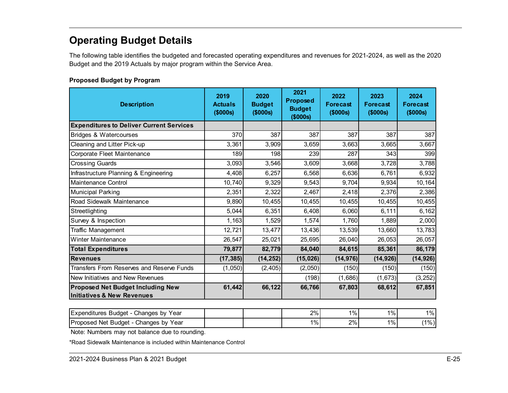## <span id="page-25-0"></span>**Operating Budget Details**

The following table identifies the budgeted and forecasted operating expenditures and revenues for 2021-2024, as well as the 2020 Budget and the 2019 Actuals by major program within the Service Area.

## **Proposed Budget by Program**

| <b>Description</b>                                                                | 2019<br><b>Actuals</b><br>(\$000s) | 2020<br><b>Budget</b><br>(\$000s) | 2021<br><b>Proposed</b><br><b>Budget</b><br>(\$000s) | 2022<br><b>Forecast</b><br>(\$000s) | 2023<br><b>Forecast</b><br>\$000s | 2024<br><b>Forecast</b><br>(\$000s) |
|-----------------------------------------------------------------------------------|------------------------------------|-----------------------------------|------------------------------------------------------|-------------------------------------|-----------------------------------|-------------------------------------|
| <b>Expenditures to Deliver Current Services</b>                                   |                                    |                                   |                                                      |                                     |                                   |                                     |
| <b>Bridges &amp; Watercourses</b>                                                 | 370                                | 387                               | 387                                                  | 387                                 | 387                               | 387                                 |
| Cleaning and Litter Pick-up                                                       | 3,361                              | 3,909                             | 3,659                                                | 3,663                               | 3,665                             | 3,667                               |
| Corporate Fleet Maintenance                                                       | 189                                | 198                               | 239                                                  | 287                                 | 343                               | 399                                 |
| <b>Crossing Guards</b>                                                            | 3,093                              | 3,546                             | 3,609                                                | 3,668                               | 3,728                             | 3,788                               |
| Infrastructure Planning & Engineering                                             | 4,408                              | 6,257                             | 6,568                                                | 6,636                               | 6,761                             | 6,932                               |
| Maintenance Control                                                               | 10.740                             | 9,329                             | 9,543                                                | 9,704                               | 9,934                             | 10,164                              |
| <b>Municipal Parking</b>                                                          | 2,351                              | 2,322                             | 2,467                                                | 2,418                               | 2,376                             | 2,386                               |
| Road Sidewalk Maintenance                                                         | 9,890                              | 10,455                            | 10,455                                               | 10,455                              | 10,455                            | 10,455                              |
| Streetlighting                                                                    | 5,044                              | 6,351                             | 6,408                                                | 6,060                               | 6,111                             | 6,162                               |
| Survey & Inspection                                                               | 1,163                              | 1,529                             | 1,574                                                | 1,760                               | 1,889                             | 2,000                               |
| <b>Traffic Management</b>                                                         | 12,721                             | 13,477                            | 13,436                                               | 13,539                              | 13,660                            | 13,783                              |
| <b>Winter Maintenance</b>                                                         | 26,547                             | 25,021                            | 25,695                                               | 26,040                              | 26,053                            | 26,057                              |
| <b>Total Expenditures</b>                                                         | 79,877                             | 82,779                            | 84,040                                               | 84,615                              | 85,361                            | 86,179                              |
| <b>Revenues</b>                                                                   | (17, 385)                          | (14, 252)                         | (15, 026)                                            | (14, 976)                           | (14, 926)                         | (14, 926)                           |
| Transfers From Reserves and Reserve Funds                                         | (1,050)                            | (2, 405)                          | (2,050)                                              | (150)                               | (150)                             | (150)                               |
| New Initiatives and New Revenues                                                  |                                    |                                   | (198)                                                | (1,686)                             | (1,673)                           | (3,252)                             |
| <b>Proposed Net Budget Including New</b><br><b>Initiatives &amp; New Revenues</b> | 61,442                             | 66,122                            | 66,766                                               | 67,803                              | 68,612                            | 67,851                              |

| Changes by<br>Year<br>Budaet<br>'Expenditures |  | 2%    | $1\%$ | $1\%$ | $1\%$   |
|-----------------------------------------------|--|-------|-------|-------|---------|
| Changes by<br>Proposed Net Budget<br>Year     |  | $1\%$ | 2%    | $1\%$ | $(1\%)$ |

Note: Numbers may not balance due to rounding.

\*Road Sidewalk Maintenance is included within Maintenance Control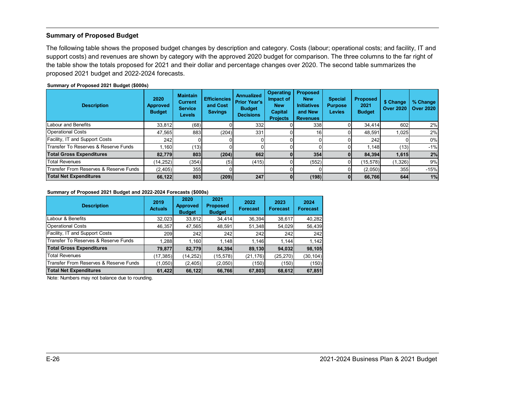#### <span id="page-26-0"></span>**Summary of Proposed Budget**

The following table shows the proposed budget changes by description and category. Costs (labour; operational costs; and facility, IT and support costs) and revenues are shown by category with the approved 2020 budget for comparison. The three columns to the far right of the table show the totals proposed for 2021 and their dollar and percentage changes over 2020. The second table summarizes the proposed 2021 budget and 2022-2024 forecasts.

#### **Summary of Proposed 2021 Budget (\$000s)**

| <b>Description</b>                                | 2020<br><b>Approved</b><br><b>Budget</b> | <b>Maintain</b><br><b>Current</b><br><b>Service</b><br><b>Levels</b> | <b>Efficiencies</b><br>and Cost<br><b>Savings</b> | <b>Annualized</b><br><b>Prior Year's</b><br><b>Budget</b><br><b>Decisions</b> | <b>Operating</b><br>Impact of<br><b>New</b><br><b>Capital</b><br><b>Projects</b> | <b>Proposed</b><br><b>New</b><br><b>Initiatives</b><br>and New<br><b>Revenues</b> | <b>Special</b><br><b>Purpose</b><br><b>Levies</b> | <b>Proposed</b><br>2021<br><b>Budget</b> | \$ Change<br><b>Over 2020</b> | % Change<br><b>Over 2020</b> |
|---------------------------------------------------|------------------------------------------|----------------------------------------------------------------------|---------------------------------------------------|-------------------------------------------------------------------------------|----------------------------------------------------------------------------------|-----------------------------------------------------------------------------------|---------------------------------------------------|------------------------------------------|-------------------------------|------------------------------|
| Labour and Benefits                               | 33,812                                   | (68)                                                                 |                                                   | 332                                                                           |                                                                                  | 338                                                                               |                                                   | 34.414                                   | 602                           | 2%                           |
| <b>Operational Costs</b>                          | 47,565                                   | 883                                                                  | (204)                                             | 331                                                                           |                                                                                  | 16 <sup>1</sup>                                                                   |                                                   | 48.591                                   | 1,025                         | 2%                           |
| Facility, IT and Support Costs                    | 242                                      |                                                                      |                                                   |                                                                               |                                                                                  |                                                                                   |                                                   | 242                                      |                               | 0%                           |
| <b>Transfer To Reserves &amp; Reserve Funds</b>   | 1.160                                    | (13)                                                                 |                                                   |                                                                               |                                                                                  |                                                                                   |                                                   | 1.148                                    | (13)                          | $-1%$                        |
| <b>Total Gross Expenditures</b>                   | 82.779                                   | 803                                                                  | (204)                                             | 662                                                                           |                                                                                  | 354                                                                               | 01                                                | 84.394                                   | 1,615                         | 2%                           |
| <b>Total Revenues</b>                             | (14,252)                                 | (354)                                                                | (5)                                               | (415)                                                                         |                                                                                  | (552)                                                                             | Οl                                                | (15, 578)                                | (1,326)                       | 9%                           |
| <b>Transfer From Reserves &amp; Reserve Funds</b> | (2,405)                                  | 355                                                                  |                                                   |                                                                               |                                                                                  |                                                                                   |                                                   | (2,050)                                  | 355                           | $-15%$                       |
| <b>Total Net Expenditures</b>                     | 66,122                                   | 803                                                                  | (209)                                             | 247                                                                           |                                                                                  | (198)                                                                             | 01                                                | 66,766                                   | 644                           | 1%                           |

#### **Summary of Proposed 2021 Budget and 2022-2024 Forecasts (\$000s)**

| <b>Description</b>                     | 2019<br><b>Actuals</b> | 2020<br><b>Approved</b><br><b>Budget</b> | 2021<br><b>Proposed</b><br><b>Budget</b> | 2022<br><b>Forecast</b> | 2023<br><b>Forecast</b> | 2024<br><b>Forecast</b> |
|----------------------------------------|------------------------|------------------------------------------|------------------------------------------|-------------------------|-------------------------|-------------------------|
| Labour & Benefits                      | 32,023                 | 33,812                                   | 34,414                                   | 36,394                  | 38,617                  | 40,282                  |
| <b>Operational Costs</b>               | 46,357                 | 47,565                                   | 48,591                                   | 51.348                  | 54,029                  | 56,439                  |
| Facility, IT and Support Costs         | 209                    | 242                                      | 242                                      | 242                     | 242                     | 242                     |
| Transfer To Reserves & Reserve Funds   | 1.288                  | 1.160                                    | 1.148                                    | 1.146                   | 1.144                   | 1,142                   |
| <b>Total Gross Expenditures</b>        | 79.877                 | 82.779                                   | 84,394                                   | 89,130                  | 94,032                  | 98,105                  |
| <b>Total Revenues</b>                  | (17, 385)              | (14, 252)                                | (15,578)                                 | (21, 176)               | (25, 270)               | (30, 104)               |
| Transfer From Reserves & Reserve Funds | (1,050)                | (2,405)                                  | (2,050)                                  | (150)                   | (150)                   | (150)                   |
| <b>Total Net Expenditures</b>          | 61,422                 | 66,122                                   | 66,766                                   | 67,803                  | 68,612                  | 67,851                  |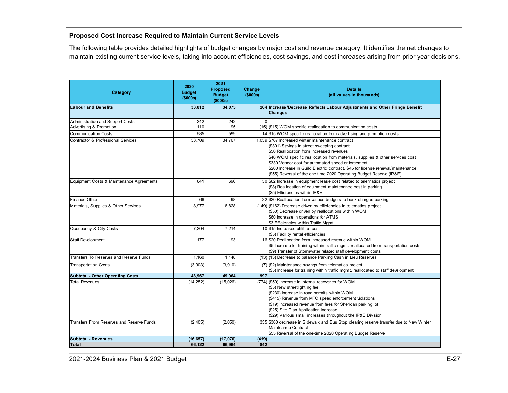### <span id="page-27-0"></span>**Proposed Cost Increase Required to Maintain Current Service Levels**

The following table provides detailed highlights of budget changes by major cost and revenue category. It identifies the net changes to maintain existing current service levels, taking into account efficiencies, cost savings, and cost increases arising from prior year decisions.

| Category                                      | 2020<br><b>Budget</b> | 2021<br>Proposed<br><b>Budget</b> | Change<br>(\$000s) | <b>Details</b><br>(all values in thousands)                                                                                                                                                                                                                                                                                                                                                                                                    |
|-----------------------------------------------|-----------------------|-----------------------------------|--------------------|------------------------------------------------------------------------------------------------------------------------------------------------------------------------------------------------------------------------------------------------------------------------------------------------------------------------------------------------------------------------------------------------------------------------------------------------|
|                                               | (\$000s)              | (\$000s)                          |                    |                                                                                                                                                                                                                                                                                                                                                                                                                                                |
| <b>Labour and Benefits</b>                    | 33,812                | 34,075                            |                    | 264 Increase/Decrease Reflects Labour Adjustments and Other Fringe Benefit<br><b>Changes</b>                                                                                                                                                                                                                                                                                                                                                   |
| Administration and Support Costs              | 242                   | 242                               | $\Omega$           |                                                                                                                                                                                                                                                                                                                                                                                                                                                |
| Advertising & Promotion                       | 110                   | 95                                |                    | (15) (\$15) WOM specific reallocation to communication costs                                                                                                                                                                                                                                                                                                                                                                                   |
| <b>Communication Costs</b>                    | 585                   | 599                               |                    | 14 \$15 WOM specific reallocation from advertising and promotion costs                                                                                                                                                                                                                                                                                                                                                                         |
| <b>Contractor &amp; Professional Services</b> | 33,709                | 34,767                            |                    | 1,059 \$767 Increased winter maintenance contract<br>(\$301) Savings in street sweeping contract<br>\$50 Reallocation from increased revenues<br>\$40 WOM specific reallocation from materials, supplies & other services cost<br>\$330 Vendor cost for automated speed enforcement<br>\$200 Increase in Guild Electric contract, \$45 for license renewal/maintenance<br>(\$55) Reversal of the one time 2020 Operating Budget Reserve (IP&E) |
| Equipment Costs & Maintenance Agreements      | 641                   | 690                               |                    | 50 \$62 Increase in equipment lease cost related to telematics project<br>(\$8) Reallocation of equipment maintenance cost in parking<br>(\$5) Efficiencies within IP&E                                                                                                                                                                                                                                                                        |
| <b>Finance Other</b>                          | 66                    | 98                                |                    | 32 \$20 Reallocation from various budgets to bank charges parking                                                                                                                                                                                                                                                                                                                                                                              |
| Materials, Supplies & Other Services          | 8,977                 | 8,828                             |                    | (149) (\$162) Decrease driven by efficiencies in telematics project<br>(\$50) Decrease driven by reallocations within WOM<br>\$60 Increase in operations for ATMS<br>\$3 Efficiencies within Traffic Mgmt                                                                                                                                                                                                                                      |
| Occupancy & City Costs                        | 7.204                 | 7,214                             |                    | 10 \$15 Increased utilities cost<br>(\$5) Facility rental efficiencies                                                                                                                                                                                                                                                                                                                                                                         |
| <b>Staff Development</b>                      | 177                   | 193                               |                    | 16 \$20 Reallocation from increased revenue within WOM<br>\$5 Increase for training within traffic mgmt. reallocated from transportation costs<br>(\$9) Transfer of Stormwater related staff development costs                                                                                                                                                                                                                                 |
| Transfers To Reserves and Reserve Funds       | 1,160                 | 1.148                             |                    | (13) (13) Decrease to balance Parking Cash in Lieu Reserves                                                                                                                                                                                                                                                                                                                                                                                    |
| <b>Transportation Costs</b>                   | (3,903)               | (3,910)                           |                    | (7) (\$2) Maintenance savings from telematics project<br>(\$5) Increase for training within traffic mgmt. reallocated to staff development                                                                                                                                                                                                                                                                                                     |
| <b>Subtotal - Other Operating Costs</b>       | 48,967                | 49,964                            | 997                |                                                                                                                                                                                                                                                                                                                                                                                                                                                |
| <b>Total Revenues</b>                         | (14, 252)             | (15,026)                          |                    | (774) (\$50) Increase in internal recoveries for WOM<br>(\$5) New streetlighting fee<br>(\$230) Increase in road permits within WOM<br>(\$415) Revenue from MTO speed enforcement violations<br>(\$19) Increased revenue from fees for Sheridan parking lot<br>(\$25) Site Plan Application increase<br>(\$29) Various small increases throughout the IP&E Division                                                                            |
| Transfers From Reserves and Reserve Funds     | (2, 405)              | (2,050)                           |                    | 355 \$300 decrease in Sidewalk and Bus Stop clearing reserve transfer due to New Winter<br>Mainteance Contract<br>\$55 Reversal of the one-time 2020 Operating Budget Reserve                                                                                                                                                                                                                                                                  |
| <b>Subtotal - Revenues</b>                    | (16, 657)             | (17,076)                          | (419)              |                                                                                                                                                                                                                                                                                                                                                                                                                                                |
| <b>Total</b>                                  | 66,122                | 66,964                            | 842                |                                                                                                                                                                                                                                                                                                                                                                                                                                                |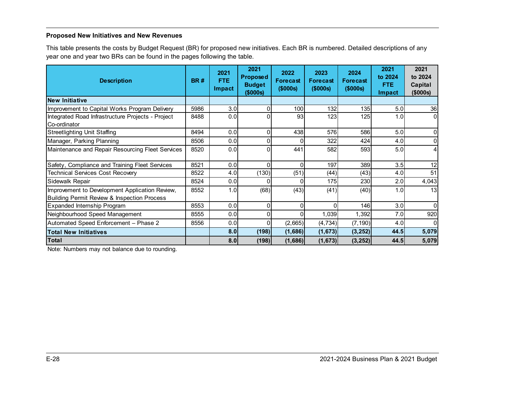### <span id="page-28-0"></span>**Proposed New Initiatives and New Revenues**

This table presents the costs by Budget Request (BR) for proposed new initiatives. Each BR is numbered. Detailed descriptions of any year one and year two BRs can be found in the pages following the table.

| <b>Description</b>                                     | <b>BR#</b> | 2021<br>FTE.<br>Impact | 2021<br><b>Proposed</b><br><b>Budget</b><br>(\$000s) | 2022<br><b>Forecast</b><br>(\$000s) | 2023<br><b>Forecast</b><br>(\$000s) | 2024<br>Forecast<br>(\$000s) | 2021<br>to 2024<br>FTE.<br><b>Impact</b> | 2021<br>to 2024<br>Capital<br>(\$000s) |
|--------------------------------------------------------|------------|------------------------|------------------------------------------------------|-------------------------------------|-------------------------------------|------------------------------|------------------------------------------|----------------------------------------|
| <b>New Initiative</b>                                  |            |                        |                                                      |                                     |                                     |                              |                                          |                                        |
| Improvement to Capital Works Program Delivery          | 5986       | 3.0                    | 01                                                   | 100                                 | 132                                 | 135                          | 5.0                                      | 36                                     |
| Integrated Road Infrastructure Projects - Project      | 8488       | 0.0                    |                                                      | 93                                  | 123                                 | 125                          | 1.0                                      | $\Omega$                               |
| Co-ordinator                                           |            |                        |                                                      |                                     |                                     |                              |                                          |                                        |
| <b>Streetlighting Unit Staffing</b>                    | 8494       | 0.0                    | 0                                                    | 438                                 | 576                                 | 586                          | 5.0                                      | 0                                      |
| Manager, Parking Planning                              | 8506       | 0.0                    |                                                      |                                     | 322                                 | 424                          | 4.0                                      | 0                                      |
| Maintenance and Repair Resourcing Fleet Services       | 8520       | 0.0                    | Ωl                                                   | 441                                 | 582                                 | 593                          | 5.0                                      | 4                                      |
| Safety, Compliance and Training Fleet Services         | 8521       | 0.0                    | Ωl                                                   | $\Omega$                            | 197                                 | 389                          | 3.5                                      | 12                                     |
| Technical Services Cost Recovery                       | 8522       | 4.0                    | (130)                                                | (51)                                | (44)                                | (43)                         | 4.0                                      | 51                                     |
| Sidewalk Repair                                        | 8524       | 0.0                    |                                                      | <sup>0</sup>                        | 175                                 | 230                          | 2.0                                      | 4,043                                  |
| Improvement to Development Application Review,         | 8552       | 1.0                    | (68)                                                 | (43)                                | (41)                                | (40)                         | 1.0                                      | 13                                     |
| <b>Building Permit Review &amp; Inspection Process</b> |            |                        |                                                      |                                     |                                     |                              |                                          |                                        |
| Expanded Internship Program                            | 8553       | 0.0                    | $\Omega$                                             | 0                                   |                                     | <b>146</b>                   | 3.0                                      | $\Omega$                               |
| Neighbourhood Speed Management                         | 8555       | 0.0                    |                                                      | O                                   | 1,039                               | 1,392                        | 7.0                                      | 920                                    |
| Automated Speed Enforcement - Phase 2                  | 8556       | 0.0                    | Ωl                                                   | (2,665)                             | (4, 734)                            | (7, 190)                     | 4.0                                      | $\Omega$                               |
| <b>Total New Initiatives</b>                           |            | 8.0                    | (198)                                                | (1,686)                             | (1, 673)                            | (3, 252)                     | 44.5                                     | 5,079                                  |
| <b>Total</b>                                           |            | 8.0                    | (198)                                                | (1,686)                             | (1, 673)                            | (3, 252)                     | 44.5                                     | 5,079                                  |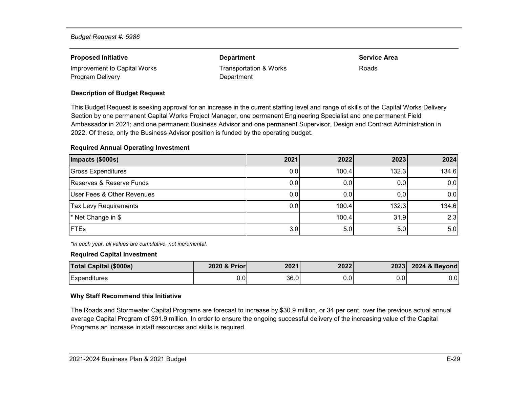| <b>Proposed Initiative</b>   | <b>Department</b>      | <b>Service Area</b> |
|------------------------------|------------------------|---------------------|
| Improvement to Capital Works | Transportation & Works | Roads               |
| Program Delivery             | Department             |                     |

#### **Description of Budget Request**

This Budget Request is seeking approval for an increase in the current staffing level and range of skills of the Capital Works Delivery Section by one permanent Capital Works Project Manager, one permanent Engineering Specialist and one permanent Field Ambassador in 2021; and one permanent Business Advisor and one permanent Supervisor, Design and Contract Administration in 2022. Of these, only the Business Advisor position is funded by the operating budget.

#### **Required Annual Operating Investment**

| Impacts (\$000s)             | 2021 | 2022  | 2023  | 2024             |
|------------------------------|------|-------|-------|------------------|
| <b>Gross Expenditures</b>    | 0.0  | 100.4 | 132.3 | 134.6            |
| Reserves & Reserve Funds     | 0.0  | 0.0   | 0.0   | 0.0              |
| User Fees & Other Revenues   | 0.0  | 0.0   | 0.0   | 0.0              |
| <b>Tax Levy Requirements</b> | 0.0  | 100.4 | 132.3 | 134.6            |
| * Net Change in \$           |      | 100.4 | 31.9  | 2.3              |
| <b>FTEs</b>                  | 3.0  | 5.0   | 5.0   | 5.0 <sub>1</sub> |

*\*In each year, all values are cumulative, not incremental.*

#### **Required Capital Investment**

| <b>Total Capital (\$000s)</b> | 2020 & Prior | 2021 | 2022 | 20231 | 2024 & Beyond |
|-------------------------------|--------------|------|------|-------|---------------|
| Expenditures                  | $0.0\,$      | 36.0 | 0.0  | 0.0   | 0.0           |

#### **Why Staff Recommend this Initiative**

The Roads and Stormwater Capital Programs are forecast to increase by \$30.9 million, or 34 per cent, over the previous actual annual average Capital Program of \$91.9 million. In order to ensure the ongoing successful delivery of the increasing value of the Capital Programs an increase in staff resources and skills is required.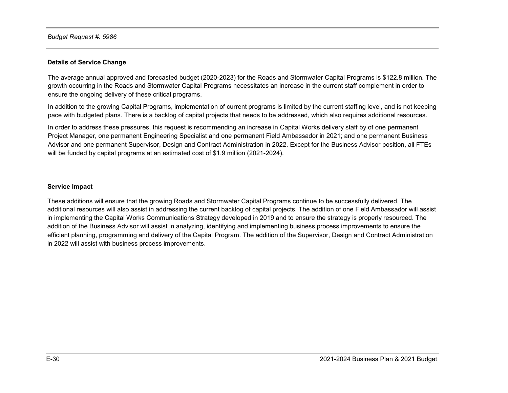#### **Details of Service Change**

The average annual approved and forecasted budget (2020-2023) for the Roads and Stormwater Capital Programs is \$122.8 million. The growth occurring in the Roads and Stormwater Capital Programs necessitates an increase in the current staff complement in order to ensure the ongoing delivery of these critical programs.

In addition to the growing Capital Programs, implementation of current programs is limited by the current staffing level, and is not keeping pace with budgeted plans. There is a backlog of capital projects that needs to be addressed, which also requires additional resources.

In order to address these pressures, this request is recommending an increase in Capital Works delivery staff by of one permanent Project Manager, one permanent Engineering Specialist and one permanent Field Ambassador in 2021; and one permanent Business Advisor and one permanent Supervisor, Design and Contract Administration in 2022. Except for the Business Advisor position, all FTEs will be funded by capital programs at an estimated cost of \$1.9 million (2021-2024).

#### **Service Impact**

These additions will ensure that the growing Roads and Stormwater Capital Programs continue to be successfully delivered. The additional resources will also assist in addressing the current backlog of capital projects. The addition of one Field Ambassador will assist in implementing the Capital Works Communications Strategy developed in 2019 and to ensure the strategy is properly resourced. The addition of the Business Advisor will assist in analyzing, identifying and implementing business process improvements to ensure the efficient planning, programming and delivery of the Capital Program. The addition of the Supervisor, Design and Contract Administration in 2022 will assist with business process improvements.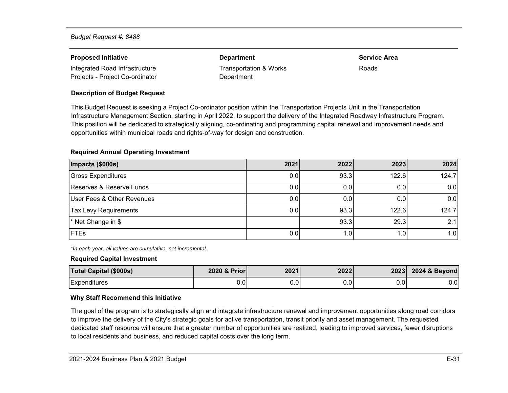| <b>Proposed Initiative</b>      | <b>Department</b>      | <b>Service Area</b> |
|---------------------------------|------------------------|---------------------|
| Integrated Road Infrastructure  | Transportation & Works | Roads               |
| Projects - Project Co-ordinator | Department             |                     |

#### **Description of Budget Request**

This Budget Request is seeking a Project Co-ordinator position within the Transportation Projects Unit in the Transportation Infrastructure Management Section, starting in April 2022, to support the delivery of the Integrated Roadway Infrastructure Program. This position will be dedicated to strategically aligning, co-ordinating and programming capital renewal and improvement needs and opportunities within municipal roads and rights-of-way for design and construction.

#### **Required Annual Operating Investment**

| Impacts (\$000s)             | 2021 | 2022 | 2023  | 2024  |
|------------------------------|------|------|-------|-------|
| Gross Expenditures           | 0.0  | 93.3 | 122.6 | 124.7 |
| Reserves & Reserve Funds     | 0.0  | 0.0  | 0.0   | 0.0   |
| User Fees & Other Revenues   | 0.0  | 0.0  | 0.0   | 0.0   |
| <b>Tax Levy Requirements</b> | 0.0  | 93.3 | 122.6 | 124.7 |
| * Net Change in \$           |      | 93.3 | 29.3  | 2.1   |
| <b>IFTEs</b>                 | 0.0  | 1.01 | 1.01  | 1.0   |

*\*In each year, all values are cumulative, not incremental.*

#### **Required Capital Investment**

| <b>Total Capital (\$000s)</b> | 2020 & Prior | 2021 | 2022    | 2023    | 2024 & Beyond |
|-------------------------------|--------------|------|---------|---------|---------------|
| Expenditures                  | 0.0          | J.U' | $0.0\,$ | $0.0\,$ | $0.0\,$       |

#### **Why Staff Recommend this Initiative**

The goal of the program is to strategically align and integrate infrastructure renewal and improvement opportunities along road corridors to improve the delivery of the City's strategic goals for active transportation, transit priority and asset management. The requested dedicated staff resource will ensure that a greater number of opportunities are realized, leading to improved services, fewer disruptions to local residents and business, and reduced capital costs over the long term.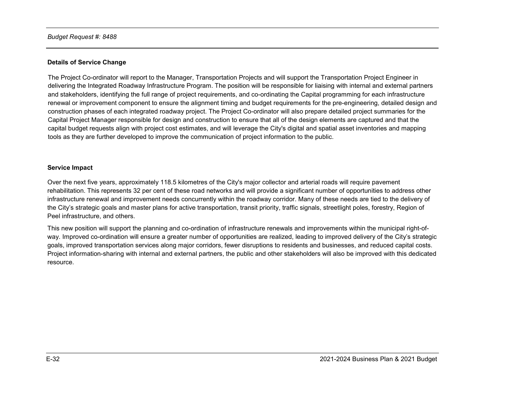### **Details of Service Change**

The Project Co-ordinator will report to the Manager, Transportation Projects and will support the Transportation Project Engineer in delivering the Integrated Roadway Infrastructure Program. The position will be responsible for liaising with internal and external partners and stakeholders, identifying the full range of project requirements, and co-ordinating the Capital programming for each infrastructure renewal or improvement component to ensure the alignment timing and budget requirements for the pre-engineering, detailed design and construction phases of each integrated roadway project. The Project Co-ordinator will also prepare detailed project summaries for the Capital Project Manager responsible for design and construction to ensure that all of the design elements are captured and that the capital budget requests align with project cost estimates, and will leverage the City's digital and spatial asset inventories and mapping tools as they are further developed to improve the communication of project information to the public.

#### **Service Impact**

Over the next five years, approximately 118.5 kilometres of the City's major collector and arterial roads will require pavement rehabilitation. This represents 32 per cent of these road networks and will provide a significant number of opportunities to address other infrastructure renewal and improvement needs concurrently within the roadway corridor. Many of these needs are tied to the delivery of the City's strategic goals and master plans for active transportation, transit priority, traffic signals, streetlight poles, forestry, Region of Peel infrastructure, and others.

This new position will support the planning and co-ordination of infrastructure renewals and improvements within the municipal right-ofway. Improved co-ordination will ensure a greater number of opportunities are realized, leading to improved delivery of the City's strategic goals, improved transportation services along major corridors, fewer disruptions to residents and businesses, and reduced capital costs. Project information-sharing with internal and external partners, the public and other stakeholders will also be improved with this dedicated resource.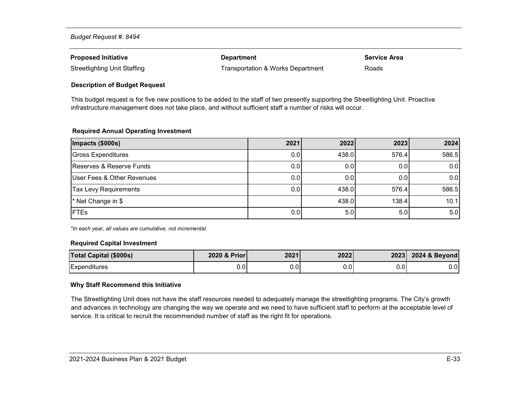| <b>Proposed Initiative</b>          | <b>Department</b>                 | <b>Service Area</b> |
|-------------------------------------|-----------------------------------|---------------------|
| <b>Streetlighting Unit Staffing</b> | Transportation & Works Department | Roads               |

#### **Description of Budget Request**

This budget request is for five new positions to be added to the staff of two presently supporting the Streetlighting Unit. Proactive infrastructure management does not take place, and without sufficient staff a number of risks will occur.

#### **Required Annual Operating Investment**

| Impacts (\$000s)             | 2021 | 2022  | 2023  | 2024  |
|------------------------------|------|-------|-------|-------|
| <b>Gross Expenditures</b>    | 0.0  | 438.0 | 576.4 | 586.5 |
| Reserves & Reserve Funds     | 0.0  | 0.0   | 0.0   | 0.0   |
| User Fees & Other Revenues   | 0.0  | 0.0   | 0.0   | 0.0   |
| <b>Tax Levy Requirements</b> | 0.0  | 438.0 | 576.4 | 586.5 |
| * Net Change in \$           |      | 438.0 | 138.4 | 10.1  |
| <b>FTEs</b>                  | 0.0  | 5.0   | 5.0   | 5.0   |

*\*In each year, all values are cumulative, not incremental.*

#### **Required Capital Investment**

| <b>Total Capital (\$000s)</b> | 2020 & Prior | 2021     | 2022 | 2023          | 2024 & Beyond |
|-------------------------------|--------------|----------|------|---------------|---------------|
| Expenditures                  | $0.0\,$      | ົ<br>U.U | v.v  | $0.0^{\circ}$ | 0.0           |

#### **Why Staff Recommend this Initiative**

The Streetlighting Unit does not have the staff resources needed to adequately manage the streetlighting programs. The City's growth and advances in technology are changing the way we operate and we need to have sufficient staff to perform at the acceptable level of service. It is critical to recruit the recommended number of staff as the right fit for operations.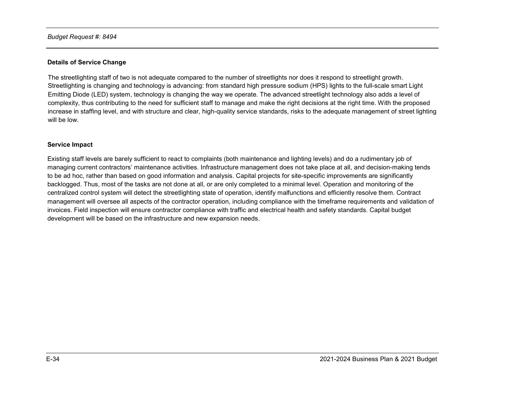#### **Details of Service Change**

The streetlighting staff of two is not adequate compared to the number of streetlights nor does it respond to streetlight growth. Streetlighting is changing and technology is advancing: from standard high pressure sodium (HPS) lights to the full-scale smart Light Emitting Diode (LED) system, technology is changing the way we operate. The advanced streetlight technology also adds a level of complexity, thus contributing to the need for sufficient staff to manage and make the right decisions at the right time. With the proposed increase in staffing level, and with structure and clear, high-quality service standards, risks to the adequate management of street lighting will be low.

#### **Service Impact**

Existing staff levels are barely sufficient to react to complaints (both maintenance and lighting levels) and do a rudimentary job of managing current contractors' maintenance activities. Infrastructure management does not take place at all, and decision-making tends to be ad hoc, rather than based on good information and analysis. Capital projects for site-specific improvements are significantly backlogged. Thus, most of the tasks are not done at all, or are only completed to a minimal level. Operation and monitoring of the centralized control system will detect the streetlighting state of operation, identify malfunctions and efficiently resolve them. Contract management will oversee all aspects of the contractor operation, including compliance with the timeframe requirements and validation of invoices. Field inspection will ensure contractor compliance with traffic and electrical health and safety standards. Capital budget development will be based on the infrastructure and new expansion needs.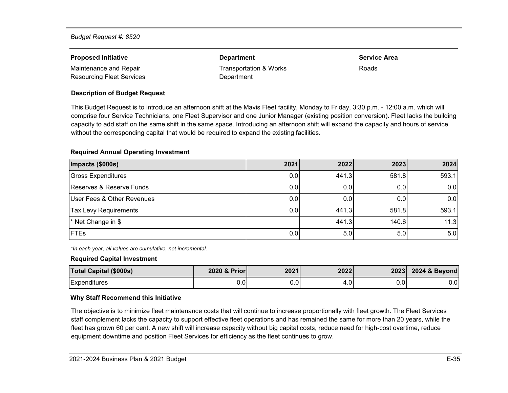| <b>Proposed Initiative</b>       | <b>Department</b>      | <b>Service Area</b> |
|----------------------------------|------------------------|---------------------|
| Maintenance and Repair           | Transportation & Works | <b>Roads</b>        |
| <b>Resourcing Fleet Services</b> | Department             |                     |

#### **Description of Budget Request**

This Budget Request is to introduce an afternoon shift at the Mavis Fleet facility, Monday to Friday, 3:30 p.m. - 12:00 a.m. which will comprise four Service Technicians, one Fleet Supervisor and one Junior Manager (existing position conversion). Fleet lacks the building capacity to add staff on the same shift in the same space. Introducing an afternoon shift will expand the capacity and hours of service without the corresponding capital that would be required to expand the existing facilities.

#### **Required Annual Operating Investment**

| Impacts (\$000s)             | 2021 | 2022  | 2023  | 2024  |
|------------------------------|------|-------|-------|-------|
| Gross Expenditures           | 0.0  | 441.3 | 581.8 | 593.1 |
| Reserves & Reserve Funds     | 0.0  | 0.0   | 0.0   | 0.0   |
| User Fees & Other Revenues   | 0.0  | 0.0   | 0.0   | 0.0   |
| <b>Tax Levy Requirements</b> | 0.0  | 441.3 | 581.8 | 593.1 |
| * Net Change in \$           |      | 441.3 | 140.6 | 11.3  |
| <b>FTEs</b>                  | 0.0  | 5.0   | 5.0   | 5.0   |

*\*In each year, all values are cumulative, not incremental.*

#### **Required Capital Investment**

| <b>Total Capital (\$000s)</b> | 2020 & Prior | 2021 | 2022 | 2023    | 2024 & Beyond |
|-------------------------------|--------------|------|------|---------|---------------|
| Expenditures                  | 0.0          | J.U' | 4.0  | $0.0\,$ | $0.0\,$       |

#### **Why Staff Recommend this Initiative**

The objective is to minimize fleet maintenance costs that will continue to increase proportionally with fleet growth. The Fleet Services staff complement lacks the capacity to support effective fleet operations and has remained the same for more than 20 years, while the fleet has grown 60 per cent. A new shift will increase capacity without big capital costs, reduce need for high-cost overtime, reduce equipment downtime and position Fleet Services for efficiency as the fleet continues to grow.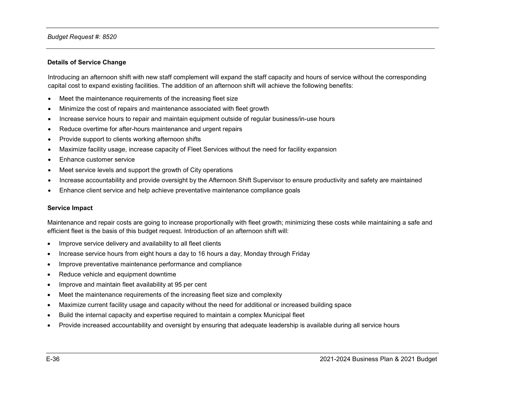#### **Details of Service Change**

Introducing an afternoon shift with new staff complement will expand the staff capacity and hours of service without the corresponding capital cost to expand existing facilities. The addition of an afternoon shift will achieve the following benefits:

- Meet the maintenance requirements of the increasing fleet size
- Minimize the cost of repairs and maintenance associated with fleet growth
- Increase service hours to repair and maintain equipment outside of regular business/in-use hours
- Reduce overtime for after-hours maintenance and urgent repairs
- Provide support to clients working afternoon shifts
- Maximize facility usage, increase capacity of Fleet Services without the need for facility expansion
- Enhance customer service
- Meet service levels and support the growth of City operations
- Increase accountability and provide oversight by the Afternoon Shift Supervisor to ensure productivity and safety are maintained
- Enhance client service and help achieve preventative maintenance compliance goals

#### **Service Impact**

Maintenance and repair costs are going to increase proportionally with fleet growth; minimizing these costs while maintaining a safe and efficient fleet is the basis of this budget request. Introduction of an afternoon shift will:

- Improve service delivery and availability to all fleet clients
- Increase service hours from eight hours a day to 16 hours a day, Monday through Friday
- Improve preventative maintenance performance and compliance
- Reduce vehicle and equipment downtime
- Improve and maintain fleet availability at 95 per cent
- Meet the maintenance requirements of the increasing fleet size and complexity
- Maximize current facility usage and capacity without the need for additional or increased building space
- Build the internal capacity and expertise required to maintain a complex Municipal fleet
- Provide increased accountability and oversight by ensuring that adequate leadership is available during all service hours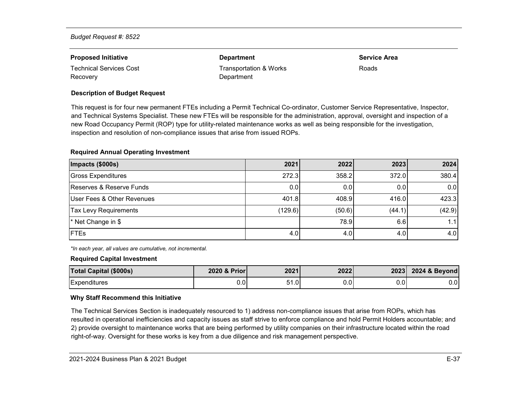| <b>Proposed Initiative</b> | <b>Department</b>      | <b>Service Area</b> |
|----------------------------|------------------------|---------------------|
| Technical Services Cost    | Transportation & Works | Roads               |
| Recovery                   | Department             |                     |

#### **Description of Budget Request**

This request is for four new permanent FTEs including a Permit Technical Co-ordinator, Customer Service Representative, Inspector, and Technical Systems Specialist. These new FTEs will be responsible for the administration, approval, oversight and inspection of a new Road Occupancy Permit (ROP) type for utility-related maintenance works as well as being responsible for the investigation, inspection and resolution of non-compliance issues that arise from issued ROPs.

#### **Required Annual Operating Investment**

| Impacts (\$000s)             | 2021    | 2022   | 2023   | 2024   |
|------------------------------|---------|--------|--------|--------|
| Gross Expenditures           | 272.3   | 358.2  | 372.0  | 380.4  |
| Reserves & Reserve Funds     | 0.0     | 0.0    | 0.0    | 0.0    |
| User Fees & Other Revenues   | 401.8   | 408.9  | 416.0  | 423.3  |
| <b>Tax Levy Requirements</b> | (129.6) | (50.6) | (44.1) | (42.9) |
| * Net Change in \$           |         | 78.9   | 6.6    | 1.11   |
| <b>FTEs</b>                  | 4.0     | 4.0    | 4.0    | 4.0    |

*\*In each year, all values are cumulative, not incremental.*

#### **Required Capital Investment**

| <b>Total Capital (\$000s)</b> | 2020 & Prior | 2021 | 2022 | 2023 | 2024 & Beyond |
|-------------------------------|--------------|------|------|------|---------------|
| Expenditures                  | 0.0          | 51.0 | 0.0  | 0.0  | 0.0           |

#### **Why Staff Recommend this Initiative**

The Technical Services Section is inadequately resourced to 1) address non-compliance issues that arise from ROPs, which has resulted in operational inefficiencies and capacity issues as staff strive to enforce compliance and hold Permit Holders accountable; and 2) provide oversight to maintenance works that are being performed by utility companies on their infrastructure located within the road right-of-way. Oversight for these works is key from a due diligence and risk management perspective.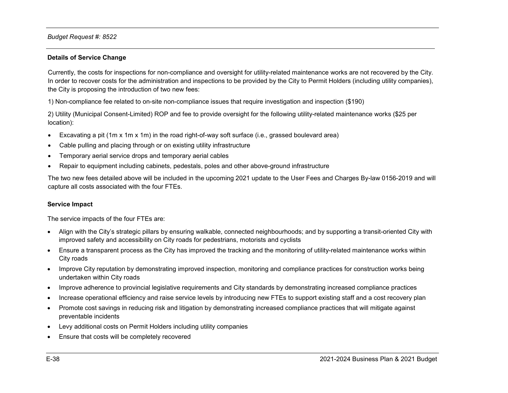#### **Details of Service Change**

Currently, the costs for inspections for non-compliance and oversight for utility-related maintenance works are not recovered by the City. In order to recover costs for the administration and inspections to be provided by the City to Permit Holders (including utility companies), the City is proposing the introduction of two new fees:

1) Non-compliance fee related to on-site non-compliance issues that require investigation and inspection (\$190)

2) Utility (Municipal Consent-Limited) ROP and fee to provide oversight for the following utility-related maintenance works (\$25 per location):

- Excavating a pit (1m x 1m x 1m) in the road right-of-way soft surface (i.e., grassed boulevard area)
- Cable pulling and placing through or on existing utility infrastructure
- Temporary aerial service drops and temporary aerial cables
- Repair to equipment including cabinets, pedestals, poles and other above-ground infrastructure

The two new fees detailed above will be included in the upcoming 2021 update to the User Fees and Charges By-law 0156-2019 and will capture all costs associated with the four FTEs.

#### **Service Impact**

The service impacts of the four FTEs are:

- Align with the City's strategic pillars by ensuring walkable, connected neighbourhoods; and by supporting a transit-oriented City with improved safety and accessibility on City roads for pedestrians, motorists and cyclists
- Ensure a transparent process as the City has improved the tracking and the monitoring of utility-related maintenance works within City roads
- Improve City reputation by demonstrating improved inspection, monitoring and compliance practices for construction works being undertaken within City roads
- Improve adherence to provincial legislative requirements and City standards by demonstrating increased compliance practices
- Increase operational efficiency and raise service levels by introducing new FTEs to support existing staff and a cost recovery plan
- Promote cost savings in reducing risk and litigation by demonstrating increased compliance practices that will mitigate against preventable incidents
- Levy additional costs on Permit Holders including utility companies
- Ensure that costs will be completely recovered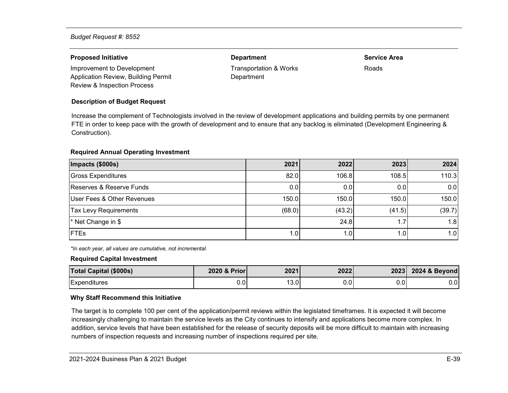#### **Proposed Initiative Department Service Area**

Improvement to Development Application Review, Building Permit Review & Inspection Process

#### **Description of Budget Request**

Department

Transportation & Works

Roads

Increase the complement of Technologists involved in the review of development applications and building permits by one permanent FTE in order to keep pace with the growth of development and to ensure that any backlog is eliminated (Development Engineering & Construction).

#### **Required Annual Operating Investment**

| Impacts (\$000s)             | 2021   | 2022   | 2023   | 2024             |
|------------------------------|--------|--------|--------|------------------|
| <b>Gross Expenditures</b>    | 82.0   | 106.8  | 108.5  | 110.3            |
| Reserves & Reserve Funds     | 0.0    | 0.0    | 0.0    | 0.0              |
| User Fees & Other Revenues   | 150.0  | 150.0  | 150.0  | 150.0            |
| <b>Tax Levy Requirements</b> | (68.0) | (43.2) | (41.5) | (39.7)           |
| * Net Change in \$           |        | 24.8   |        | 1.8 <sub>l</sub> |
| <b>IFTEs</b>                 | 1.0.   | 1.01   | .0     | 1.0 <sub>l</sub> |

*\*In each year, all values are cumulative, not incremental.*

#### **Required Capital Investment**

| <b>Total Capital (\$000s)</b> | 2020 & Prior  | 2021 | 2022 | 2023 | 2024 & Beyond |
|-------------------------------|---------------|------|------|------|---------------|
| Expenditures                  | $\sim$<br>J.U | 13.0 | 0.01 | 0.0  | $0.0\,$       |

#### **Why Staff Recommend this Initiative**

The target is to complete 100 per cent of the application/permit reviews within the legislated timeframes. It is expected it will become increasingly challenging to maintain the service levels as the City continues to intensify and applications become more complex. In addition, service levels that have been established for the release of security deposits will be more difficult to maintain with increasing numbers of inspection requests and increasing number of inspections required per site.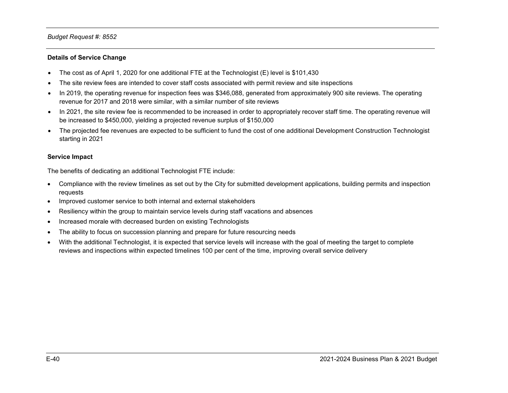#### **Details of Service Change**

- The cost as of April 1, 2020 for one additional FTE at the Technologist (E) level is \$101,430
- The site review fees are intended to cover staff costs associated with permit review and site inspections
- In 2019, the operating revenue for inspection fees was \$346,088, generated from approximately 900 site reviews. The operating revenue for 2017 and 2018 were similar, with a similar number of site reviews
- In 2021, the site review fee is recommended to be increased in order to appropriately recover staff time. The operating revenue will be increased to \$450,000, yielding a projected revenue surplus of \$150,000
- The projected fee revenues are expected to be sufficient to fund the cost of one additional Development Construction Technologist starting in 2021

#### **Service Impact**

The benefits of dedicating an additional Technologist FTE include:

- Compliance with the review timelines as set out by the City for submitted development applications, building permits and inspection requests
- Improved customer service to both internal and external stakeholders
- Resiliency within the group to maintain service levels during staff vacations and absences
- Increased morale with decreased burden on existing Technologists
- The ability to focus on succession planning and prepare for future resourcing needs
- With the additional Technologist, it is expected that service levels will increase with the goal of meeting the target to complete reviews and inspections within expected timelines 100 per cent of the time, improving overall service delivery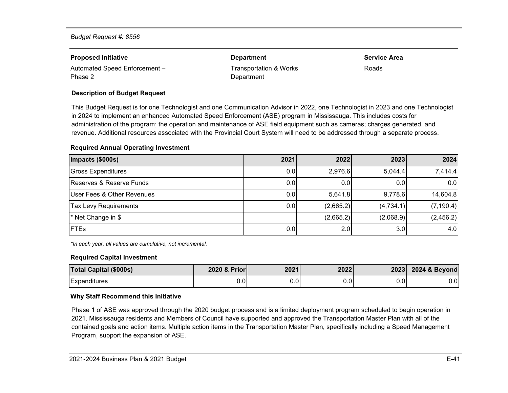| <b>Proposed Initiative</b>    | <b>Department</b>      | <b>Service Area</b> |
|-------------------------------|------------------------|---------------------|
| Automated Speed Enforcement - | Transportation & Works | Roads               |
| Phase 2                       | Department             |                     |

#### **Description of Budget Request**

This Budget Request is for one Technologist and one Communication Advisor in 2022, one Technologist in 2023 and one Technologist in 2024 to implement an enhanced Automated Speed Enforcement (ASE) program in Mississauga. This includes costs for administration of the program; the operation and maintenance of ASE field equipment such as cameras; charges generated, and revenue. Additional resources associated with the Provincial Court System will need to be addressed through a separate process.

#### **Required Annual Operating Investment**

| Impacts (\$000s)             | 2021 | 2022      | 2023      | 2024       |
|------------------------------|------|-----------|-----------|------------|
| Gross Expenditures           | 0.0  | 2,976.6   | 5,044.4   | 7,414.4    |
| Reserves & Reserve Funds     | 0.0  | 0.0       | 0.0       | 0.0        |
| User Fees & Other Revenues   | 0.0  | 5,641.8   | 9,778.6   | 14,604.8   |
| <b>Tax Levy Requirements</b> | 0.0  | (2,665.2) | (4,734.1) | (7, 190.4) |
| * Net Change in \$           |      | (2,665.2) | (2,068.9) | (2,456.2)  |
| <b>IFTEs</b>                 | 0.0  | 2.0       | 3.0       | 4.0        |

*\*In each year, all values are cumulative, not incremental.*

#### **Required Capital Investment**

| <b>Total Capital (\$000s)</b> | 2020 & Prior | 2021 | 2022 |      | 2023 2024 & Beyond |
|-------------------------------|--------------|------|------|------|--------------------|
| Expenditures                  | $_{0.0}$     | J.U  | J.OL | 0.01 | 0.01               |

#### **Why Staff Recommend this Initiative**

Phase 1 of ASE was approved through the 2020 budget process and is a limited deployment program scheduled to begin operation in 2021. Mississauga residents and Members of Council have supported and approved the Transportation Master Plan with all of the contained goals and action items. Multiple action items in the Transportation Master Plan, specifically including a Speed Management Program, support the expansion of ASE.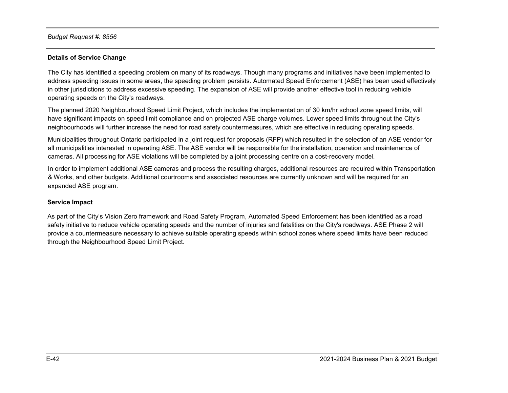### **Details of Service Change**

The City has identified a speeding problem on many of its roadways. Though many programs and initiatives have been implemented to address speeding issues in some areas, the speeding problem persists. Automated Speed Enforcement (ASE) has been used effectively in other jurisdictions to address excessive speeding. The expansion of ASE will provide another effective tool in reducing vehicle operating speeds on the City's roadways.

The planned 2020 Neighbourhood Speed Limit Project, which includes the implementation of 30 km/hr school zone speed limits, will have significant impacts on speed limit compliance and on projected ASE charge volumes. Lower speed limits throughout the City's neighbourhoods will further increase the need for road safety countermeasures, which are effective in reducing operating speeds.

Municipalities throughout Ontario participated in a joint request for proposals (RFP) which resulted in the selection of an ASE vendor for all municipalities interested in operating ASE. The ASE vendor will be responsible for the installation, operation and maintenance of cameras. All processing for ASE violations will be completed by a joint processing centre on a cost-recovery model.

In order to implement additional ASE cameras and process the resulting charges, additional resources are required within Transportation & Works, and other budgets. Additional courtrooms and associated resources are currently unknown and will be required for an expanded ASE program.

#### **Service Impact**

As part of the City's Vision Zero framework and Road Safety Program, Automated Speed Enforcement has been identified as a road safety initiative to reduce vehicle operating speeds and the number of injuries and fatalities on the City's roadways. ASE Phase 2 will provide a countermeasure necessary to achieve suitable operating speeds within school zones where speed limits have been reduced through the Neighbourhood Speed Limit Project.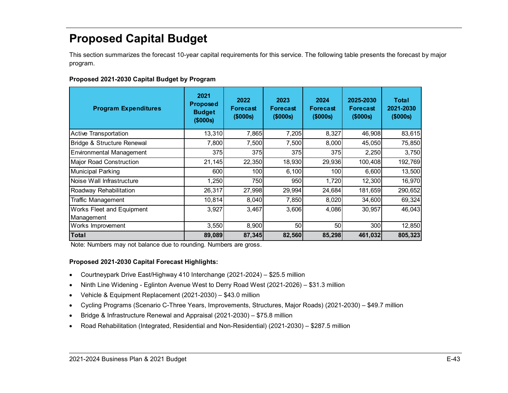# <span id="page-43-0"></span>**Proposed Capital Budget**

This section summarizes the forecast 10-year capital requirements for this service. The following table presents the forecast by major program.

<span id="page-43-1"></span>

| Proposed 2021-2030 Capital Budget by Program |  |  |  |
|----------------------------------------------|--|--|--|
|----------------------------------------------|--|--|--|

| <b>Program Expenditures</b>             | 2021<br><b>Proposed</b><br><b>Budget</b><br>(\$000s) | 2022<br><b>Forecast</b><br>(\$000s) | 2023<br><b>Forecast</b><br>(\$000s) | 2024<br><b>Forecast</b><br>(\$000s) | 2025-2030<br><b>Forecast</b><br>(\$000s) | <b>Total</b><br>2021-2030<br>(\$000s) |
|-----------------------------------------|------------------------------------------------------|-------------------------------------|-------------------------------------|-------------------------------------|------------------------------------------|---------------------------------------|
| <b>Active Transportation</b>            | 13,310                                               | 7,865                               | 7,205                               | 8,327                               | 46,908                                   | 83,615                                |
| Bridge & Structure Renewal              | 7,800                                                | 7,500                               | 7,500                               | 8,000                               | 45,050                                   | 75,850                                |
| <b>Environmental Management</b>         | 375                                                  | 375                                 | 375                                 | 375                                 | 2,250                                    | 3,750                                 |
| <b>Major Road Construction</b>          | 21,145                                               | 22,350                              | 18,930                              | 29,936                              | 100,408                                  | 192,769                               |
| <b>Municipal Parking</b>                | 600                                                  | 100                                 | 6,100                               | 100                                 | 6,600                                    | 13,500                                |
| Noise Wall Infrastructure               | 1,250                                                | 750                                 | 950                                 | 1,720                               | 12,300                                   | 16,970                                |
| Roadway Rehabilitation                  | 26,317                                               | 27,998                              | 29,994                              | 24,684                              | 181,659                                  | 290,652                               |
| <b>Traffic Management</b>               | 10,814                                               | 8,040                               | 7,850                               | 8,020                               | 34,600                                   | 69,324                                |
| Works Fleet and Equipment<br>Management | 3,927                                                | 3,467                               | 3,606                               | 4,086                               | 30,957                                   | 46,043                                |
| Works Improvement                       | 3,550                                                | 8,900                               | 50                                  | 50                                  | 300                                      | 12,850                                |
| Total                                   | 89,089                                               | 87,345                              | 82,560                              | 85,298                              | 461,032                                  | 805,323                               |

Note: Numbers may not balance due to rounding. Numbers are gross.

## **Proposed 2021-2030 Capital Forecast Highlights:**

- Courtneypark Drive East/Highway 410 Interchange (2021-2024) \$25.5 million
- Ninth Line Widening Eglinton Avenue West to Derry Road West (2021-2026) \$31.3 million
- Vehicle & Equipment Replacement (2021-2030) \$43.0 million
- Cycling Programs (Scenario C-Three Years, Improvements, Structures, Major Roads) (2021-2030) \$49.7 million
- Bridge & Infrastructure Renewal and Appraisal (2021-2030) \$75.8 million
- Road Rehabilitation (Integrated, Residential and Non-Residential) (2021-2030) \$287.5 million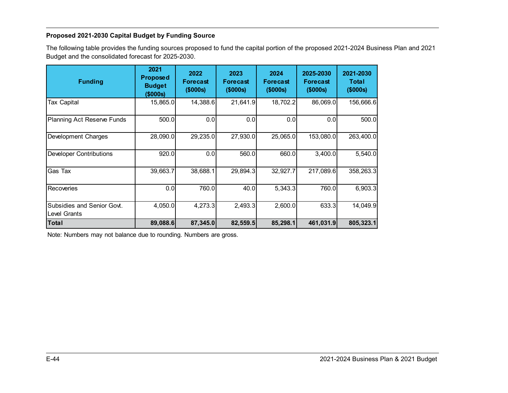## <span id="page-44-0"></span>**Proposed 2021-2030 Capital Budget by Funding Source**

The following table provides the funding sources proposed to fund the capital portion of the proposed 2021-2024 Business Plan and 2021 Budget and the consolidated forecast for 2025-2030.

| <b>Funding</b>                             | 2021<br><b>Proposed</b><br><b>Budget</b><br>(\$000s) | 2022<br><b>Forecast</b><br>(\$000s) | 2023<br><b>Forecast</b><br>(\$000s) | 2024<br><b>Forecast</b><br>(\$000s) | 2025-2030<br><b>Forecast</b><br>(\$000s) | 2021-2030<br><b>Total</b><br>(\$000s) |
|--------------------------------------------|------------------------------------------------------|-------------------------------------|-------------------------------------|-------------------------------------|------------------------------------------|---------------------------------------|
| <b>Tax Capital</b>                         | 15,865.0                                             | 14,388.6                            | 21,641.9                            | 18,702.2                            | 86,069.0                                 | 156,666.6                             |
| <b>Planning Act Reserve Funds</b>          | 500.0                                                | 0.0                                 | 0.0                                 | 0.0                                 | 0.0                                      | 500.0                                 |
| Development Charges                        | 28,090.0                                             | 29,235.0                            | 27,930.0                            | 25,065.0                            | 153,080.0                                | 263,400.0                             |
| <b>Developer Contributions</b>             | 920.0                                                | 0.0                                 | 560.0                               | 660.0                               | 3,400.0                                  | 5,540.0                               |
| Gas Tax                                    | 39,663.7                                             | 38,688.1                            | 29,894.3                            | 32,927.7                            | 217,089.6                                | 358,263.3                             |
| Recoveries                                 | 0.0                                                  | 760.0                               | 40.0                                | 5,343.3                             | 760.0                                    | 6,903.3                               |
| Subsidies and Senior Govt.<br>Level Grants | 4,050.0                                              | 4,273.3                             | 2,493.3                             | 2,600.0                             | 633.3                                    | 14,049.9                              |
| <b>Total</b>                               | 89,088.6                                             | 87,345.0                            | 82,559.5                            | 85,298.1                            | 461,031.9                                | 805,323.1                             |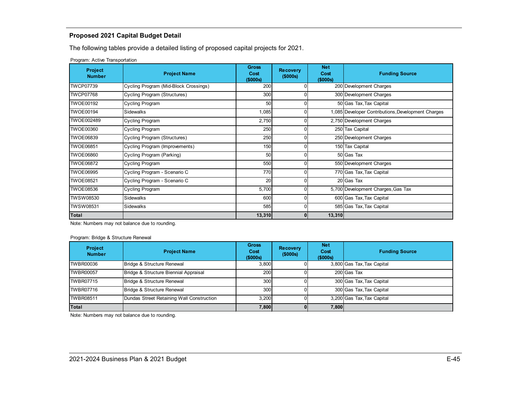## <span id="page-45-0"></span>**Proposed 2021 Capital Budget Detail**

The following tables provide a detailed listing of proposed capital projects for 2021.

Program: Active Transportation

| <b>Project</b><br><b>Number</b> | <b>Project Name</b>                   | <b>Gross</b><br>Cost<br>(\$000s) | <b>Recovery</b><br>(\$000s) | <b>Net</b><br>Cost<br>$($ \$000s $)$ | <b>Funding Source</b>                              |
|---------------------------------|---------------------------------------|----------------------------------|-----------------------------|--------------------------------------|----------------------------------------------------|
| <b>TWCP07739</b>                | Cycling Program (Mid-Block Crossings) | 200                              | $\Omega$                    |                                      | 200 Development Charges                            |
| <b>TWCP07768</b>                | Cycling Program (Structures)          | 300                              | 0                           |                                      | 300 Development Charges                            |
| <b>TWOE00192</b>                | <b>Cycling Program</b>                | 50                               | $\Omega$                    |                                      | 50 Gas Tax, Tax Capital                            |
| <b>TWOE00194</b>                | <b>Sidewalks</b>                      | 1,085                            | 0                           |                                      | 1,085 Developer Contributions, Development Charges |
| TWOE002489                      | <b>Cycling Program</b>                | 2,750                            | $\Omega$                    |                                      | 2,750 Development Charges                          |
| <b>TWOE00360</b>                | <b>Cycling Program</b>                | 250                              | 01                          |                                      | 250 Tax Capital                                    |
| <b>TWOE06839</b>                | <b>Cycling Program (Structures)</b>   | 250                              | ΩI                          |                                      | 250 Development Charges                            |
| <b>TWOE06851</b>                | Cycling Program (Improvements)        | 150                              | $\Omega$                    |                                      | 150 Tax Capital                                    |
| TWOE06860                       | Cycling Program (Parking)             | 50                               | $\Omega$                    |                                      | 50 Gas Tax                                         |
| TWOE06872                       | <b>Cycling Program</b>                | 550                              | $\Omega$                    |                                      | 550 Development Charges                            |
| <b>TWOE06995</b>                | Cycling Program - Scenario C          | 770                              | $\Omega$                    |                                      | 770 Gas Tax, Tax Capital                           |
| <b>TWOE08521</b>                | Cycling Program - Scenario C          | 20                               | $\Omega$                    |                                      | 20 Gas Tax                                         |
| <b>TWOE08536</b>                | <b>Cycling Program</b>                | 5,700                            | $\Omega$                    |                                      | 5,700 Development Charges, Gas Tax                 |
| TWSW08530                       | <b>Sidewalks</b>                      | 600                              | $\Omega$                    |                                      | 600 Gas Tax, Tax Capital                           |
| TWSW08531                       | Sidewalks                             | 585                              | $\Omega$                    |                                      | 585 Gas Tax, Tax Capital                           |
| Total                           |                                       | 13,310                           | $\mathbf{0}$                | 13,310                               |                                                    |

Note: Numbers may not balance due to rounding.

Program: Bridge & Structure Renewal

| <b>Project</b><br><b>Number</b> | <b>Project Name</b>                       | <b>Gross</b><br>Cost<br>(\$000s) | <b>Recovery</b><br>(\$000s) | <b>Net</b><br>Cost<br>(\$000s) | <b>Funding Source</b>      |
|---------------------------------|-------------------------------------------|----------------------------------|-----------------------------|--------------------------------|----------------------------|
| TWBR00036                       | Bridge & Structure Renewal                | 3.800                            |                             |                                | 3,800 Gas Tax, Tax Capital |
| TWBR00057                       | Bridge & Structure Biennial Appraisal     | 200                              |                             |                                | 200 Gas Tax                |
| TWBR07715                       | Bridge & Structure Renewal                | 300                              |                             |                                | 300 Gas Tax, Tax Capital   |
| TWBR07716                       | Bridge & Structure Renewal                | 300                              |                             |                                | 300 Gas Tax, Tax Capital   |
| TWBR08511                       | Dundas Street Retaining Wall Construction | 3.200                            |                             |                                | 3,200 Gas Tax, Tax Capital |
| Total                           |                                           | 7,800                            |                             | 7,800                          |                            |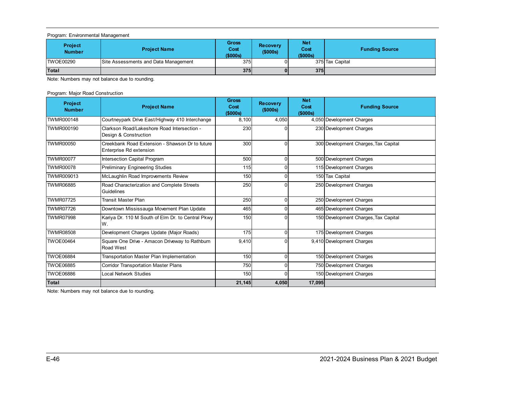#### Program: Environmental Management

| <b>Project</b><br><b>Number</b> | <b>Project Name</b>                  | <b>Gross</b><br>Cost<br>(\$000s) | <b>Recovery</b><br>(\$000s) | <b>Net</b><br>Cost<br>(\$000s) | <b>Funding Source</b> |
|---------------------------------|--------------------------------------|----------------------------------|-----------------------------|--------------------------------|-----------------------|
| ITWOE00290                      | Site Assessments and Data Management | 375                              | 01                          |                                | 375 Tax Capital       |
| Total                           |                                      | 375                              | 01                          | 375                            |                       |

Note: Numbers may not balance due to rounding.

#### Program: Major Road Construction

| <b>Project</b><br><b>Number</b> | <b>Project Name</b>                                                        | <b>Gross</b><br>Cost<br>(5000s) | <b>Recovery</b><br>(\$000s) | <b>Net</b><br>Cost<br>(\$000s) | <b>Funding Source</b>                |
|---------------------------------|----------------------------------------------------------------------------|---------------------------------|-----------------------------|--------------------------------|--------------------------------------|
| TWMR000148                      | Courtneypark Drive East/Highway 410 Interchange                            | 8,100                           | 4.050                       |                                | 4,050 Development Charges            |
| TWMR000190                      | Clarkson Road/Lakeshore Road Intersection -<br>Design & Construction       | 230                             |                             |                                | 230 Development Charges              |
| <b>TWMR00050</b>                | Creekbank Road Extension - Shawson Dr to future<br>Enterprise Rd extension | 300                             | $\Omega$                    |                                | 300 Development Charges, Tax Capital |
| <b>TWMR00077</b>                | Intersection Capital Program                                               | 500                             | 0                           |                                | 500 Development Charges              |
| <b>TWMR00078</b>                | <b>Preliminary Engineering Studies</b>                                     | 115                             | 0                           |                                | 115 Development Charges              |
| TWMR009013                      | McLaughlin Road Improvements Review                                        | 150                             | 0                           |                                | 150 Tax Capital                      |
| <b>TWMR06885</b>                | Road Characterization and Complete Streets<br>Guidelines                   | 250                             | 0                           |                                | 250 Development Charges              |
| <b>TWMR07725</b>                | <b>Transit Master Plan</b>                                                 | 250                             | $\Omega$                    |                                | 250 Development Charges              |
| <b>TWMR07726</b>                | Downtown Mississauga Movement Plan Update                                  | 465                             | $\Omega$                    |                                | 465 Development Charges              |
| <b>TWMR07998</b>                | Kariya Dr. 110 M South of Elm Dr. to Central Pkwy<br>W.                    | 150                             | n                           |                                | 150 Development Charges, Tax Capital |
| <b>TWMR08508</b>                | Development Charges Update (Major Roads)                                   | 175                             | 0                           |                                | 175 Development Charges              |
| <b>TWOE00464</b>                | Square One Drive - Amacon Driveway to Rathburn<br>Road West                | 9,410                           | 0                           |                                | 9,410 Development Charges            |
| <b>TWOE06884</b>                | Transportation Master Plan Implementation                                  | 150                             | $\Omega$                    |                                | 150 Development Charges              |
| <b>TWOE06885</b>                | <b>Corridor Transportation Master Plans</b>                                | 750                             | $\Omega$                    |                                | 750 Development Charges              |
| <b>TWOE06886</b>                | <b>Local Network Studies</b>                                               | 150                             | 0                           |                                | 150 Development Charges              |
| Total                           |                                                                            | 21,145                          | 4,050                       | 17,095                         |                                      |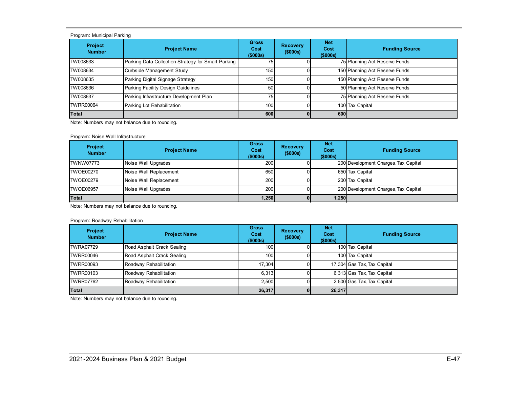#### Program: Municipal Parking

| <b>Project</b><br><b>Number</b> | <b>Project Name</b>                                | <b>Gross</b><br>Cost<br>(\$000s) | <b>Recovery</b><br>(\$000s) | <b>Net</b><br>Cost<br>(\$000s) | <b>Funding Source</b>          |
|---------------------------------|----------------------------------------------------|----------------------------------|-----------------------------|--------------------------------|--------------------------------|
| TW008633                        | Parking Data Collection Strategy for Smart Parking | 75 <sub>1</sub>                  |                             |                                | 75 Planning Act Reserve Funds  |
| TW008634                        | Curbside Management Study                          | 150                              |                             |                                | 150 Planning Act Reserve Funds |
| TW008635                        | Parking Digital Signage Strategy                   | 150                              |                             |                                | 150 Planning Act Reserve Funds |
| TW008636                        | Parking Facility Design Guidelines                 | 50 <sub>l</sub>                  |                             |                                | 50 Planning Act Reserve Funds  |
| TW008637                        | Parking Infrastructure Development Plan            | 75                               |                             |                                | 75 Planning Act Reserve Funds  |
| <b>TWRR00064</b>                | Parking Lot Rehabilitation                         | 100                              |                             |                                | 100 Tax Capital                |
| Total                           |                                                    | 600                              |                             | 600                            |                                |

Note: Numbers may not balance due to rounding.

#### Program: Noise Wall Infrastructure

| <b>Project</b><br><b>Number</b> | <b>Project Name</b>    | <b>Gross</b><br>Cost<br>(\$000s) | <b>Recovery</b><br>(\$000s) | <b>Net</b><br>Cost<br>(\$000s) | <b>Funding Source</b>                |
|---------------------------------|------------------------|----------------------------------|-----------------------------|--------------------------------|--------------------------------------|
| ITWNW07773                      | Noise Wall Upgrades    | 200                              |                             |                                | 200 Development Charges, Tax Capital |
| ITWOE00270                      | Noise Wall Replacement | 650                              |                             |                                | 650 Tax Capital                      |
| ITWOE00279                      | Noise Wall Replacement | 200                              |                             |                                | 200 Tax Capital                      |
| <b>TWOE06957</b>                | Noise Wall Upgrades    | 200                              |                             |                                | 200 Development Charges, Tax Capital |
| Total                           |                        | 1,250                            |                             | 1,250                          |                                      |

Note: Numbers may not balance due to rounding.

#### Program: Roadway Rehabilitation

| <b>Project</b><br><b>Number</b> | <b>Project Name</b>        | <b>Gross</b><br>Cost<br>(\$000s) | <b>Recovery</b><br>(\$000s) | <b>Net</b><br>Cost<br>(\$000s) | <b>Funding Source</b>       |
|---------------------------------|----------------------------|----------------------------------|-----------------------------|--------------------------------|-----------------------------|
| TWRA07729                       | Road Asphalt Crack Sealing | 100                              |                             |                                | 100 Tax Capital             |
| TWRR00046                       | Road Asphalt Crack Sealing | 100                              |                             |                                | 100 Tax Capital             |
| TWRR00093                       | Roadway Rehabilitation     | 17.304                           |                             |                                | 17,304 Gas Tax, Tax Capital |
| TWRR00103                       | Roadway Rehabilitation     | 6.313                            |                             |                                | 6,313 Gas Tax, Tax Capital  |
| TWRR07762                       | Roadway Rehabilitation     | 2.500                            |                             |                                | 2,500 Gas Tax, Tax Capital  |
| Total                           |                            | 26,317                           |                             | 26,317                         |                             |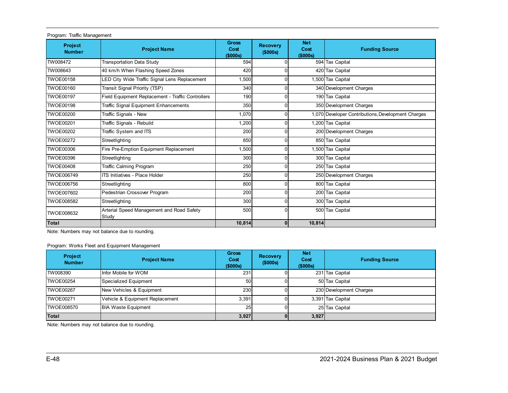| Program. Hallic Management |                                                    |                                  |                             |                                |                                                    |
|----------------------------|----------------------------------------------------|----------------------------------|-----------------------------|--------------------------------|----------------------------------------------------|
| Project<br><b>Number</b>   | <b>Project Name</b>                                | <b>Gross</b><br>Cost<br>(\$000s) | <b>Recovery</b><br>(\$000s) | <b>Net</b><br>Cost<br>(\$000s) | <b>Funding Source</b>                              |
| TW008472                   | <b>Transportation Data Study</b>                   | 594                              |                             |                                | 594 Tax Capital                                    |
| TW008643                   | 40 km/h When Flashing Speed Zones                  | 420                              |                             |                                | 420 Tax Capital                                    |
| <b>TWOE00158</b>           | LED City Wide Traffic Signal Lens Replacement      | 1,500                            | 0                           |                                | ,500 Tax Capital                                   |
| <b>TWOE00160</b>           | Transit Signal Priority (TSP)                      | 340                              | 0                           |                                | 340 Development Charges                            |
| <b>TWOE00197</b>           | Field Equipment Replacement - Traffic Controllers  | 190                              | 0                           |                                | 190 Tax Capital                                    |
| <b>TWOE00198</b>           | <b>Traffic Signal Equipment Enhancements</b>       | 350                              | 0                           |                                | 350 Development Charges                            |
| <b>TWOE00200</b>           | Traffic Signals - New                              | 1,070                            | 0                           |                                | 1,070 Developer Contributions, Development Charges |
| <b>TWOE00201</b>           | Traffic Signals - Rebuild                          | 1,200                            | 0                           |                                | 1,200 Tax Capital                                  |
| <b>TWOE00202</b>           | Traffic System and ITS                             | 200                              | ŋ                           |                                | 200 Development Charges                            |
| <b>TWOE00272</b>           | Streetlighting                                     | 850                              | 0                           |                                | 850 Tax Capital                                    |
| <b>TWOE00306</b>           | Fire Pre-Emption Equipment Replacement             | 1,500                            | 0                           |                                | 1,500 Tax Capital                                  |
| <b>TWOE00396</b>           | Streetlighting                                     | 300                              | ŋ                           |                                | 300 Tax Capital                                    |
| <b>TWOE00408</b>           | <b>Traffic Calming Program</b>                     | 250                              | 0                           |                                | 250 Tax Capital                                    |
| TWOE006749                 | <b>ITS Initiatives - Place Holder</b>              | 250                              | 0                           |                                | 250 Development Charges                            |
| <b>TWOE006756</b>          | Streetlighting                                     | 800                              | 0                           |                                | 800 Tax Capital                                    |
| <b>TWOE007602</b>          | Pedestrian Crossover Program                       | 200                              | 0                           |                                | 200 Tax Capital                                    |
| TWOE008582                 | Streetlighting                                     | 300                              | 0                           |                                | 300 Tax Capital                                    |
| TWOE008632                 | Arterial Speed Management and Road Safety<br>Study | 500                              | 0                           |                                | 500 Tax Capital                                    |
| Total                      |                                                    | 10,814                           | $\mathbf{0}$                | 10,814                         |                                                    |

Program: Traffic Management

Note: Numbers may not balance due to rounding.

Program: Works Fleet and Equipment Management

| <b>Project</b><br><b>Number</b> | <b>Project Name</b>             | <b>Gross</b><br>Cost<br>(\$000s) | <b>Recovery</b><br>(\$000s) | <b>Net</b><br>Cost<br>(\$000s) | <b>Funding Source</b>   |
|---------------------------------|---------------------------------|----------------------------------|-----------------------------|--------------------------------|-------------------------|
| TW008390                        | Infor Mobile for WOM            | 231                              |                             |                                | 231 Tax Capital         |
| <b>TWOE00254</b>                | Specialized Equipment           | 50 <sub>1</sub>                  |                             |                                | 50 Tax Capital          |
| <b>TWOE00267</b>                | New Vehicles & Equipment        | 230                              |                             |                                | 230 Development Charges |
| <b>TWOE00271</b>                | Vehicle & Equipment Replacement | 3,391                            |                             |                                | 3,391 Tax Capital       |
| <b>TWOE008570</b>               | <b>BIA Waste Equipment</b>      | 25                               |                             |                                | 25 Tax Capital          |
| <b>Total</b>                    |                                 | 3,927                            |                             | 3,927                          |                         |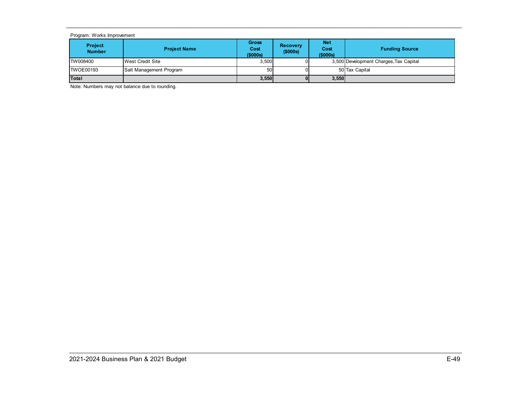#### Program: Works Improvement

| <b>Project</b><br><b>Number</b> | <b>Project Name</b>     | Gross<br>Cost<br>(\$000s) | <b>Recovery</b><br>(\$000s) | Net<br>Cost<br>(\$000s) | <b>Funding Source</b>                  |
|---------------------------------|-------------------------|---------------------------|-----------------------------|-------------------------|----------------------------------------|
| <b>TW008400</b>                 | <b>West Credit Site</b> | 3,500                     |                             |                         | 3,500 Development Charges, Tax Capital |
| <b>ITWOE00193</b>               | Salt Management Program | 50                        |                             |                         | 50 Tax Capital                         |
| Total                           |                         | 3,550                     | 01                          | 3,550                   |                                        |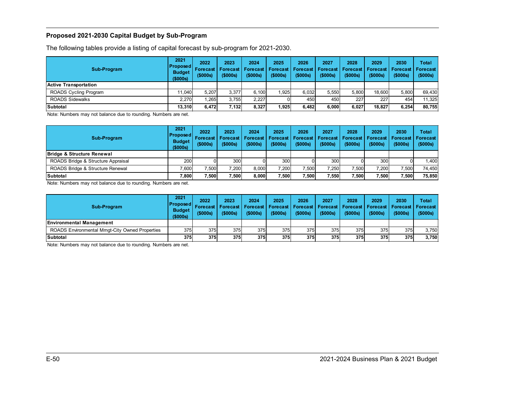### <span id="page-50-0"></span>**Proposed 2021-2030 Capital Budget by Sub-Program**

The following tables provide a listing of capital forecast by sub-program for 2021-2030.

| Sub-Program                  | 2021<br> Proposed <br><b>Budget</b><br>(\$000s) | 2022<br>Forecast I<br>(5000s) | 2023<br>Forecast<br>(5000s) | 2024<br><b>Forecast</b><br>(\$000s) | 2025<br>Forecast I<br>(5000s) | 2026<br>Forecast   Forecast  <br>(5000s) | 2027<br>$($ \$000s) | 2028<br><b>Forecast</b><br>(5000s) | 2029<br><b>Forecast Forecast</b><br>(\$000s) | 2030<br>$($ \$000s) | Total<br>Forecast<br>(\$000s) |
|------------------------------|-------------------------------------------------|-------------------------------|-----------------------------|-------------------------------------|-------------------------------|------------------------------------------|---------------------|------------------------------------|----------------------------------------------|---------------------|-------------------------------|
| Active Transportation        |                                                 |                               |                             |                                     |                               |                                          |                     |                                    |                                              |                     |                               |
| <b>ROADS Cycling Program</b> | 11.040                                          | 5.207                         | 3.377                       | 6.100                               | 1.925                         | 6,032                                    | 5.550               | 5.800                              | 18.600                                       | 5.800               | 69.430                        |
| <b>ROADS Sidewalks</b>       | 2.270                                           | .265                          | 3.755                       | 2.227                               |                               | 450                                      | 450                 | 227                                | 227                                          | 454                 | 11.325                        |
| <b>Subtotal</b>              | 13.310                                          | 6.472                         | 7,132                       | 8,327                               | 925.                          | 6,482                                    | 6.000               | 6,027                              | 18.827                                       | 6,254               | 80.755                        |

Note: Numbers may not balance due to rounding. Numbers are net.

| Sub-Program                        | 2021<br> Proposed <br><b>Budget</b><br>(\$000s) | 2022<br><b>Forecast</b><br>(5000s) | 2023<br><b>Forecast</b><br>$($ \$000s $)$ | 2024<br>(5000s) | 2025<br>(5000s) | 2026<br>(\$000s) | 2027<br>(5000s) | 2028<br>(5000s) | 2029<br>(\$000s) | 2030<br>  Forecast   Forecast   Forecast   Forecast   Forecast   Forecast   Forecast   Forecast<br>(5000s) | Total<br>(\$000s) |
|------------------------------------|-------------------------------------------------|------------------------------------|-------------------------------------------|-----------------|-----------------|------------------|-----------------|-----------------|------------------|------------------------------------------------------------------------------------------------------------|-------------------|
| Bridge & Structure Renewal         |                                                 |                                    |                                           |                 |                 |                  |                 |                 |                  |                                                                                                            |                   |
| ROADS Bridge & Structure Appraisal | <b>2001</b>                                     |                                    | 300                                       |                 | 300             |                  | 300             |                 | 300              |                                                                                                            | .400 <sub>l</sub> |
| ROADS Bridge & Structure Renewal   | 7.600                                           | 7.500                              | 7.200                                     | 8.000           | 7.200           | 7,500            | 7.250           | 7,500           | 7.200            | 7,500                                                                                                      | 74.450            |
| Subtotal                           | 7,800                                           | 7,500                              | .500                                      | 8.000           | 7,500           | .500             | 7.550           | 7,500           | .500             | 7.500                                                                                                      | 75,850            |

Note: Numbers may not balance due to rounding. Numbers are net.

| Sub-Program                                    | 2021<br>IProposed I<br><b>Budget</b><br>(\$000s) | 2022<br>(5000s) | 2023<br><b>Forecast   Forecast  </b><br>$($ \$000s $)$ | 2024<br>$($ \$000s $)$ | 2025<br>(5000s) | 2026<br>(5000s) | 2027<br>Forecast   Forecast   Forecast   Forecast   Forecast   Forecast   Forecast   Forecast<br>$($ \$000s) | 2028<br>(5000s) | 2029<br>(5000s) | 2030<br>$($ \$000s) | Total<br>(\$000s) |
|------------------------------------------------|--------------------------------------------------|-----------------|--------------------------------------------------------|------------------------|-----------------|-----------------|--------------------------------------------------------------------------------------------------------------|-----------------|-----------------|---------------------|-------------------|
| <b>Environmental Management</b>                |                                                  |                 |                                                        |                        |                 |                 |                                                                                                              |                 |                 |                     |                   |
| ROADS Environmental Mmgt-City Owned Properties | 375                                              | 375I            | 375                                                    | 375                    | 375             | 375             | 375                                                                                                          | 375             | 375             | 375I                | 3.750             |
| <b>Subtotal</b>                                | 375                                              | 375I            | 375                                                    | 375                    | 375             | 375             | 375                                                                                                          | 375             | 375             | 375                 | 3.750             |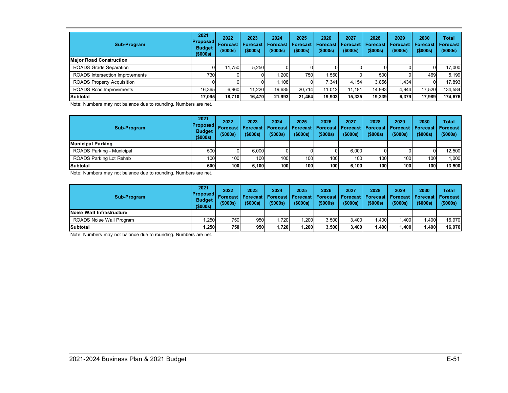| Sub-Program                       | 2021<br>  Proposed   <br><b>Budget</b><br>(\$000s) | 2022<br><b>Forecast</b><br>(\$000s) | 2023<br><b>Forecast</b><br>(\$000s) | 2024<br>Forecast<br>(5000s) | 2025<br><b>Forecast</b><br>(\$000s) | 2026<br>Forecast<br>(\$000s) | 2027<br><b>Forecast</b><br>(\$000s) | 2028<br><b>Forecast</b><br>(\$000s) | 2029<br>Forecast<br>(\$000s) | 2030<br><b>Forecast</b><br>(\$000s) | Total<br><b>Forecast</b><br>(\$000s) |
|-----------------------------------|----------------------------------------------------|-------------------------------------|-------------------------------------|-----------------------------|-------------------------------------|------------------------------|-------------------------------------|-------------------------------------|------------------------------|-------------------------------------|--------------------------------------|
| <b>Major Road Construction</b>    |                                                    |                                     |                                     |                             |                                     |                              |                                     |                                     |                              |                                     |                                      |
| <b>ROADS Grade Separation</b>     |                                                    | 11.750                              | 5,250                               |                             |                                     |                              |                                     |                                     |                              |                                     | 17,000                               |
| ROADS Intersection Improvements   | 730                                                |                                     |                                     | .200                        | 750                                 | .550                         |                                     | 500                                 |                              | 469                                 | 5.199                                |
| <b>ROADS Property Acquisition</b> |                                                    |                                     |                                     | ا 108.،                     |                                     | 7,341                        | 4.154                               | 3,856                               | 1.434                        |                                     | 17,893                               |
| ROADS Road Improvements           | 16.365                                             | 6.960                               | 11.220                              | 19.685                      | 20.714                              | 11.012                       | 11.181                              | 14,983                              | 4.944                        | 17.520                              | 134,584                              |
| Subtotal                          | 17.095                                             | 18.710                              | 16.470                              | 21,993                      | 21.464                              | 19.903                       | 15,335                              | 19.339                              | 6,379                        | 17.989                              | 174,676                              |

Note: Numbers may not balance due to rounding. Numbers are net.

| Sub-Program               | 2021<br> Proposed <br><b>Budget</b><br>(\$000s) | 2022<br>Forecast<br>(5000s) | 2023<br><b>Forecast</b><br>$($ \$000s) | 2024<br>(\$000s) | 2025<br>  Forecast   Forecast   Forecast   Forecast   Forecast  <br>(5000s) | 2026<br>(\$000s) | 2027<br>(\$000s) | 2028<br>(\$000s) | 2029<br>∣ Forecast ∣ Forecast ∣ Forecast<br>(\$000s) | 2030<br>(\$000s) | Total<br>(\$000s) |
|---------------------------|-------------------------------------------------|-----------------------------|----------------------------------------|------------------|-----------------------------------------------------------------------------|------------------|------------------|------------------|------------------------------------------------------|------------------|-------------------|
| lMunicipal Parking        |                                                 |                             |                                        |                  |                                                                             |                  |                  |                  |                                                      |                  |                   |
| ROADS Parking - Municipal | 500                                             |                             | 6.000                                  |                  |                                                                             |                  | 6.000            |                  |                                                      |                  | 12,500            |
| ROADS Parking Lot Rehab   | 100                                             | 100                         | 100                                    | 100              | 100                                                                         | 100              | 100              | 100              | 100                                                  | 100 <sup>1</sup> | 1.000             |
| <b>Subtotal</b>           | 600                                             | 100                         | 6.100                                  | <b>100</b>       | 100                                                                         | 100 <sub>1</sub> | 6.100            | 100              | 100                                                  | 100 <sup>1</sup> | 13.500            |

Note: Numbers may not balance due to rounding. Numbers are net.

| Sub-Program               | 2021<br><b>Proposed</b><br><b>Budget</b><br>(\$000s) | 2022<br>Forecast<br>(5000s) | 2023<br><b>Forecast</b><br>(5000s) | 2024<br>(\$000s) | 2025<br>(5000s) | 2026<br>(5000s) | 2027<br>(\$000s) | 2028<br>(5000s) | 2029<br>(5000s) | 2030<br>Forecast   Forecast   Forecast   Forecast   Forecast   Forecast   Forecast   Forecast<br>(\$000s) | Total<br>(\$000s) |
|---------------------------|------------------------------------------------------|-----------------------------|------------------------------------|------------------|-----------------|-----------------|------------------|-----------------|-----------------|-----------------------------------------------------------------------------------------------------------|-------------------|
| Noise Wall Infrastructure |                                                      |                             |                                    |                  |                 |                 |                  |                 |                 |                                                                                                           |                   |
| ROADS Noise Wall Program  | .250                                                 | 750I                        | 950                                | .720             | .200            | 3.500           | 3.400            | .400            | .400            | 1.400                                                                                                     | 16.970            |
| <b>Subtotal</b>           | .250                                                 | 750                         | 950                                | 1.720            | .200            | 3.500           | 3.400            | ,400            | .400            | 1,400                                                                                                     | 16.970            |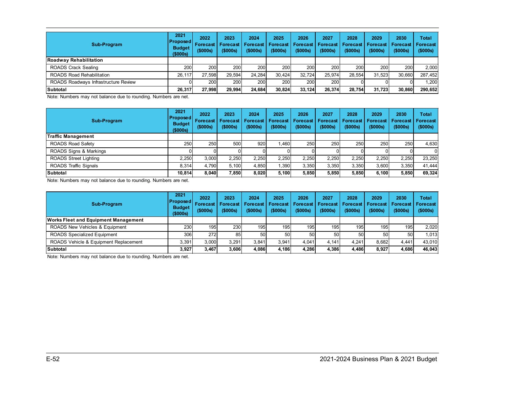| Sub-Program                          | 2021<br><b>Proposed</b><br><b>Budget</b><br>\$000s | 2022<br><b>Forecast</b><br>(\$000s) | 2023<br><b>Forecast</b><br>(\$000s) | 2024<br><b>Forecast</b><br>(\$000s) | 2025<br><b>Forecast</b><br>(\$000s) | 2026<br>Forecast<br>(\$000s) | 2027<br><b>Forecast</b><br>(\$000s) | 2028<br><b>Forecast</b><br>(\$000s) | 2029<br>Forecast<br>(\$000s) | 2030<br>Forecast<br>(\$000s) | Total<br>Forecast<br>(\$000s) |
|--------------------------------------|----------------------------------------------------|-------------------------------------|-------------------------------------|-------------------------------------|-------------------------------------|------------------------------|-------------------------------------|-------------------------------------|------------------------------|------------------------------|-------------------------------|
| Roadway Rehabilitation               |                                                    |                                     |                                     |                                     |                                     |                              |                                     |                                     |                              |                              |                               |
| <b>ROADS Crack Sealing</b>           | 200                                                | 200                                 | 200                                 | 200                                 | 200                                 | 200                          | 200                                 | 200                                 | 200                          | 200                          | 2.000                         |
| <b>ROADS Road Rehabilitation</b>     | 26.117                                             | 27.598                              | 29.594                              | 24.284                              | 30.424                              | 32,724                       | 25.974                              | 28.554                              | 31.523                       | 30.660                       | 287,452                       |
| ROADS Roadways Infrastructure Review |                                                    | <b>200</b>                          | 200                                 | 200                                 | 200                                 | 200                          | 200                                 |                                     |                              |                              | ,200                          |
| Subtotal                             | 26.317                                             | 27.998                              | 29.994                              | 24.684                              | 30.824                              | 33.124                       | 26.374                              | 28.754                              | 31.723                       | 30.860                       | 290,652                       |

Note: Numbers may not balance due to rounding. Numbers are net.

| Sub-Program                  | 2021<br> Proposed <br><b>Budget</b><br>(\$000s) | 2022<br><b>Forecast</b><br>(\$000s) | 2023<br><b>Forecast</b><br>(\$000s) | 2024<br>Forecast<br>(\$000s) | 2025<br><b>Forecast</b><br>(\$000s) | 2026<br><b>Forecast</b><br>(\$000s) | 2027<br>Forecast<br>(\$000s) | 2028<br><b>Forecast</b><br>(\$000s) | 2029<br>Forecast<br>(\$000s) | 2030<br><b>Forecast</b><br>(\$000s) | <b>Total</b><br><b>Forecast</b><br>(\$000s) |
|------------------------------|-------------------------------------------------|-------------------------------------|-------------------------------------|------------------------------|-------------------------------------|-------------------------------------|------------------------------|-------------------------------------|------------------------------|-------------------------------------|---------------------------------------------|
| Traffic Management           |                                                 |                                     |                                     |                              |                                     |                                     |                              |                                     |                              |                                     |                                             |
| <b>ROADS Road Safety</b>     | 250                                             | 250                                 | 500                                 | 920                          | .460                                | 250                                 | 250                          | 250                                 | 250                          | 250 <b>1</b>                        | 4.630                                       |
| ROADS Signs & Markings       |                                                 |                                     |                                     |                              |                                     |                                     |                              |                                     |                              |                                     | $\Omega$                                    |
| <b>ROADS Street Lighting</b> | 2,250                                           | 3.000                               | 2,250                               | 2,250                        | 2,250                               | 2,250                               | 2,250                        | 2.250                               | 2.250                        | 2,250                               | 23,250                                      |
| <b>ROADS Traffic Signals</b> | 8.314                                           | 4.790                               | 5.100                               | 4,850                        | .390                                | 3.350                               | 3,350                        | 3.350                               | 3.600                        | 3,350                               | 41.444                                      |
| Subtotal                     | 10.814                                          | 8.040                               | 7,850                               | 8.020                        | 5.100                               | 5,850                               | 5,850                        | 5.850                               | 6.100                        | 5,850                               | 69,324                                      |

Note: Numbers may not balance due to rounding. Numbers are net.

| Sub-Program                                 | 2021<br><b>Proposed</b><br><b>Budget</b><br>(\$000s) | 2022<br><b>Forecast</b><br>(5000s) | 2023<br><b>Forecast</b><br>(5000s) | 2024<br>$($ \$000s) | 2025<br><b>Forecast   Forecast  </b><br>(5000s) | 2026<br><b>Forecast</b><br>(5000s) | 2027<br>Forecast<br>$($ \$000s) | 2028<br><b>Forecast</b><br>(5000s) | 2029<br><b>Forecast</b><br>(5000s) | 2030<br><b>Forecast   Forecast</b><br>(\$000s) | Total<br>(\$000s) |
|---------------------------------------------|------------------------------------------------------|------------------------------------|------------------------------------|---------------------|-------------------------------------------------|------------------------------------|---------------------------------|------------------------------------|------------------------------------|------------------------------------------------|-------------------|
| <b>Works Fleet and Equipment Management</b> |                                                      |                                    |                                    |                     |                                                 |                                    |                                 |                                    |                                    |                                                |                   |
| ROADS New Vehicles & Equipment              | 230                                                  | 195                                | 230                                | 195                 | 195                                             | 195                                | 195 <sub>1</sub>                | 1951                               | 195                                | 195                                            | 2.020             |
| <b>ROADS Specialized Equipment</b>          | 306                                                  | 272                                | 85                                 | 50                  | 50 <sub>l</sub>                                 | 50                                 | 50                              | <b>50</b>                          | 50                                 | 50                                             | 1.0131            |
| ROADS Vehicle & Equipment Replacement       | 3,391                                                | 3.000                              | 3,291                              | 3,841               | 3.941                                           | 4.041                              | 4.141                           | 4.241                              | 8.682                              | 4.441                                          | 43.010            |
| Subtotal                                    | 3,927                                                | 3.467                              | 3.606                              | 4,086               | 4.186                                           | 4,286                              | 4,386                           | 4,486                              | 8.927                              | 4.686                                          | 46.043            |